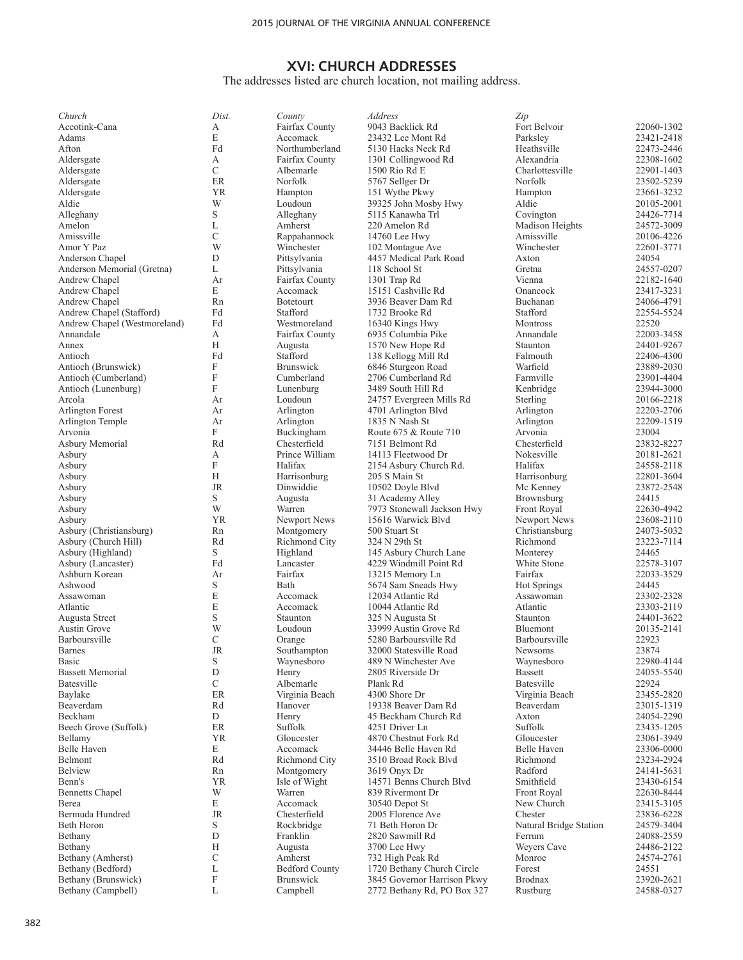The addresses listed are church location, not mailing address.

| Church                                    | Dist.                     | County                           | Address                                        | Zip                           |                          |
|-------------------------------------------|---------------------------|----------------------------------|------------------------------------------------|-------------------------------|--------------------------|
| Accotink-Cana                             | А                         | Fairfax County                   | 9043 Backlick Rd                               | Fort Belvoir                  | 22060-1302               |
| Adams                                     | E                         | Accomack                         | 23432 Lee Mont Rd                              | Parksley                      | 23421-2418               |
| Afton                                     | Fd                        | Northumberland                   | 5130 Hacks Neck Rd                             | Heathsville                   | 22473-2446               |
| Aldersgate<br>Aldersgate                  | А<br>$\mathcal{C}$        | Fairfax County<br>Albemarle      | 1301 Collingwood Rd<br>1500 Rio Rd E           | Alexandria<br>Charlottesville | 22308-1602<br>22901-1403 |
| Aldersgate                                | ER                        | Norfolk                          | 5767 Sellger Dr                                | Norfolk                       | 23502-5239               |
| Aldersgate                                | <b>YR</b>                 | Hampton                          | 151 Wythe Pkwy                                 | Hampton                       | 23661-3232               |
| Aldie                                     | W                         | Loudoun                          | 39325 John Mosby Hwy                           | Aldie                         | 20105-2001               |
| Alleghany                                 | $\mathbf S$               | Alleghany                        | 5115 Kanawha Trl                               | Covington                     | 24426-7714               |
| Amelon                                    | L                         | Amherst                          | 220 Amelon Rd                                  | Madison Heights               | 24572-3009               |
| Amissville                                | C                         | Rappahannock                     | 14760 Lee Hwy                                  | Amissville                    | 20106-4226               |
| Amor Y Paz                                | W                         | Winchester                       | 102 Montague Ave                               | Winchester                    | 22601-3771               |
| Anderson Chapel                           | D                         | Pittsylvania                     | 4457 Medical Park Road                         | Axton                         | 24054                    |
| Anderson Memorial (Gretna)                | L                         | Pittsylvania                     | 118 School St                                  | Gretna                        | 24557-0207               |
| Andrew Chapel<br>Andrew Chapel            | Ar<br>E                   | Fairfax County<br>Accomack       | 1301 Trap Rd<br>15151 Cashville Rd             | Vienna<br>Onancock            | 22182-1640<br>23417-3231 |
| Andrew Chapel                             | Rn                        | Botetourt                        | 3936 Beaver Dam Rd                             | Buchanan                      | 24066-4791               |
| Andrew Chapel (Stafford)                  | Fd                        | Stafford                         | 1732 Brooke Rd                                 | Stafford                      | 22554-5524               |
| Andrew Chapel (Westmoreland)              | Fd                        | Westmoreland                     | 16340 Kings Hwy                                | Montross                      | 22520                    |
| Annandale                                 | А                         | Fairfax County                   | 6935 Columbia Pike                             | Annandale                     | 22003-3458               |
| Annex                                     | H                         | Augusta                          | 1570 New Hope Rd                               | Staunton                      | 24401-9267               |
| Antioch                                   | Fd                        | Stafford                         | 138 Kellogg Mill Rd                            | Falmouth                      | 22406-4300               |
| Antioch (Brunswick)                       | F                         | <b>Brunswick</b>                 | 6846 Sturgeon Road                             | Warfield                      | 23889-2030               |
| Antioch (Cumberland)                      | $\boldsymbol{\mathrm{F}}$ | Cumberland                       | 2706 Cumberland Rd                             | Farmville                     | 23901-4404               |
| Antioch (Lunenburg)                       | F                         | Lunenburg                        | 3489 South Hill Rd                             | Kenbridge                     | 23944-3000               |
| Arcola                                    | Ar                        | Loudoun                          | 24757 Evergreen Mills Rd                       | Sterling                      | 20166-2218               |
| Arlington Forest<br>Arlington Temple      | Ar<br>Ar                  | Arlington<br>Arlington           | 4701 Arlington Blvd<br>1835 N Nash St          | Arlington<br>Arlington        | 22203-2706<br>22209-1519 |
| Arvonia                                   | F                         | Buckingham                       | Route 675 & Route 710                          | Arvonia                       | 23004                    |
| Asbury Memorial                           | Rd                        | Chesterfield                     | 7151 Belmont Rd                                | Chesterfield                  | 23832-8227               |
| Asbury                                    | А                         | Prince William                   | 14113 Fleetwood Dr                             | Nokesville                    | 20181-2621               |
| Asbury                                    | F                         | Halifax                          | 2154 Asbury Church Rd.                         | Halifax                       | 24558-2118               |
| Asbury                                    | H                         | Harrisonburg                     | 205 S Main St                                  | Harrisonburg                  | 22801-3604               |
| Asbury                                    | <b>JR</b>                 | Dinwiddie                        | 10502 Doyle Blvd                               | Mc Kenney                     | 23872-2548               |
| Asbury                                    | S                         | Augusta                          | 31 Academy Alley                               | Brownsburg                    | 24415                    |
| Asbury                                    | W                         | Warren                           | 7973 Stonewall Jackson Hwy                     | <b>Front Royal</b>            | 22630-4942               |
| Asbury                                    | <b>YR</b>                 | Newport News                     | 15616 Warwick Blyd                             | Newport News                  | 23608-2110               |
| Asbury (Christiansburg)                   | Rn<br>Rd                  | Montgomery                       | 500 Stuart St                                  | Christiansburg                | 24073-5032               |
| Asbury (Church Hill)<br>Asbury (Highland) | S                         | <b>Richmond City</b><br>Highland | 324 N 29th St<br>145 Asbury Church Lane        | Richmond<br>Monterey          | 23223-7114<br>24465      |
| Asbury (Lancaster)                        | Fd                        | Lancaster                        | 4229 Windmill Point Rd                         | White Stone                   | 22578-3107               |
| Ashburn Korean                            | Ar                        | Fairfax                          | 13215 Memory Ln                                | Fairfax                       | 22033-3529               |
| Ashwood                                   | $\mathbf S$               | Bath                             | 5674 Sam Sneads Hwy                            | <b>Hot Springs</b>            | 24445                    |
| Assawoman                                 | E                         | Accomack                         | 12034 Atlantic Rd                              | Assawoman                     | 23302-2328               |
| Atlantic                                  | E                         | Accomack                         | 10044 Atlantic Rd                              | Atlantic                      | 23303-2119               |
| Augusta Street                            | $\mathbf S$               | Staunton                         | 325 N Augusta St                               | Staunton                      | 24401-3622               |
| Austin Grove                              | W                         | Loudoun                          | 33999 Austin Grove Rd                          | Bluemont                      | 20135-2141               |
| Barboursville                             | $\mathcal{C}$             | Orange                           | 5280 Barboursville Rd                          | Barboursville                 | 22923                    |
| Barnes<br>Basic                           | JR                        | Southampton<br>Waynesboro        | 32000 Statesville Road<br>489 N Winchester Ave | <b>Newsoms</b><br>Waynesboro  | 23874<br>22980-4144      |
| <b>Bassett Memorial</b>                   | $\mathbf S$<br>D          | Henry                            | 2805 Riverside Dr                              | <b>Bassett</b>                | 24055-5540               |
| Batesville                                | $\mathbf C$               | Albemarle                        | Plank Rd                                       | Batesville                    | 22924                    |
| Baylake                                   | ER                        | Virginia Beach                   | 4300 Shore Dr                                  | Virginia Beach                | 23455-2820               |
| Beaverdam                                 | Rd                        | Hanover                          | 19338 Beaver Dam Rd                            | Beaverdam                     | 23015-1319               |
| Beckham                                   | ${\rm D}$                 | Henry                            | 45 Beckham Church Rd                           | Axton                         | 24054-2290               |
| Beech Grove (Suffolk)                     | $\rm ER$                  | Suffolk                          | 4251 Driver Ln                                 | Suffolk                       | 23435-1205               |
| Bellamy                                   | <b>YR</b>                 | Gloucester                       | 4870 Chestnut Fork Rd                          | Gloucester                    | 23061-3949               |
| Belle Haven                               | E                         | Accomack                         | 34446 Belle Haven Rd                           | Belle Haven                   | 23306-0000               |
| Belmont                                   | Rd                        | Richmond City                    | 3510 Broad Rock Blyd                           | Richmond                      | 23234-2924               |
| <b>Belview</b><br>Benn's                  | Rn<br><b>YR</b>           | Montgomery<br>Isle of Wight      | 3619 Onyx Dr<br>14571 Benns Church Blvd        | Radford                       | 24141-5631               |
|                                           | W                         | Warren                           | 839 Rivermont Dr                               | Smithfield                    | 23430-6154               |
| <b>Bennetts Chapel</b><br>Berea           | E                         | Accomack                         | 30540 Depot St                                 | Front Royal<br>New Church     | 22630-8444<br>23415-3105 |
| Bermuda Hundred                           | JR                        | Chesterfield                     | 2005 Florence Ave                              | Chester                       | 23836-6228               |
| Beth Horon                                | S                         | Rockbridge                       | 71 Beth Horon Dr                               | Natural Bridge Station        | 24579-3404               |
| Bethany                                   | D                         | Franklin                         | 2820 Sawmill Rd                                | Ferrum                        | 24088-2559               |
| Bethany                                   | H                         | Augusta                          | 3700 Lee Hwy                                   | Weyers Cave                   | 24486-2122               |
| Bethany (Amherst)                         | $\mathcal{C}$             | Amherst                          | 732 High Peak Rd                               | Monroe                        | 24574-2761               |
| Bethany (Bedford)                         | L                         | <b>Bedford County</b>            | 1720 Bethany Church Circle                     | Forest                        | 24551                    |
| Bethany (Brunswick)                       | $\boldsymbol{\mathrm{F}}$ | Brunswick                        | 3845 Governor Harrison Pkwy                    | Brodnax                       | 23920-2621               |
| Bethany (Campbell)                        | L                         | Campbell                         | 2772 Bethany Rd, PO Box 327                    | Rustburg                      | 24588-0327               |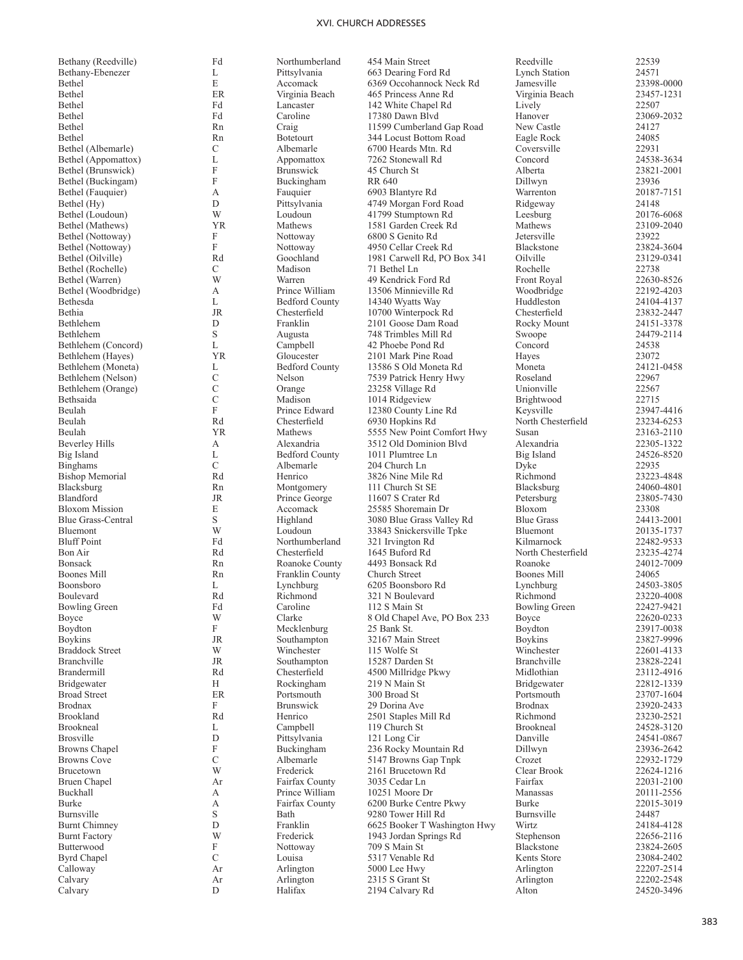| Bethany (Reedville)     | Fd            | Northumberland        | 454 Main Street              | Reedville            | 22539 |
|-------------------------|---------------|-----------------------|------------------------------|----------------------|-------|
| Bethany-Ebenezer        | L             | Pittsylvania          | 663 Dearing Ford Rd          | <b>Lynch Station</b> | 24571 |
| Bethel                  | E             | Accomack              | 6369 Occohannock Neck Rd     | Jamesville           | 23398 |
| Bethel                  | ER            | Virginia Beach        | 465 Princess Anne Rd         | Virginia Beach       | 23457 |
| Bethel                  | Fd            | Lancaster             | 142 White Chapel Rd          | Lively               | 22507 |
| Bethel                  | Fd            | Caroline              | 17380 Dawn Blvd              | Hanover              | 23069 |
| Bethel                  | Rn            | Craig                 | 11599 Cumberland Gap Road    | New Castle           | 24127 |
| Bethel                  | Rn            | <b>Botetourt</b>      | 344 Locust Bottom Road       | Eagle Rock           | 24085 |
| Bethel (Albemarle)      | C             | Albemarle             | 6700 Heards Mtn. Rd          | Coversville          | 22931 |
| Bethel (Appomattox)     | L             | Appomattox            | 7262 Stonewall Rd            | Concord              | 24538 |
| Bethel (Brunswick)      | F             | <b>Brunswick</b>      | 45 Church St                 | Alberta              | 23821 |
| Bethel (Buckingam)      | F             | Buckingham            | RR 640                       | Dillwyn              | 23936 |
| Bethel (Fauquier)       | А             | Fauquier              | 6903 Blantyre Rd             | Warrenton            | 20187 |
| Bethel (Hy)             | D             | Pittsylvania          | 4749 Morgan Ford Road        |                      | 24148 |
|                         | W             |                       |                              | Ridgeway             |       |
| Bethel (Loudoun)        |               | Loudoun               | 41799 Stumptown Rd           | Leesburg             | 20176 |
| Bethel (Mathews)        | <b>YR</b>     | Mathews               | 1581 Garden Creek Rd         | Mathews              | 23109 |
| Bethel (Nottoway)       | F             | Nottoway              | 6800 S Genito Rd             | Jetersville          | 23922 |
| Bethel (Nottoway)       | F             | Nottoway              | 4950 Cellar Creek Rd         | Blackstone           | 23824 |
| Bethel (Oilville)       | Rd            | Goochland             | 1981 Carwell Rd, PO Box 341  | Oilville             | 23129 |
| Bethel (Rochelle)       | $\mathcal{C}$ | Madison               | 71 Bethel Ln                 | Rochelle             | 22738 |
| Bethel (Warren)         | W             | Warren                | 49 Kendrick Ford Rd          | Front Royal          | 22630 |
| Bethel (Woodbridge)     | А             | Prince William        | 13506 Minnieville Rd         | Woodbridge           | 22192 |
| Bethesda                | L             | <b>Bedford County</b> | 14340 Wyatts Way             | Huddleston           | 24104 |
| Bethia                  | <b>JR</b>     | Chesterfield          | 10700 Winterpock Rd          | Chesterfield         | 23832 |
| Bethlehem               | D             | Franklin              | 2101 Goose Dam Road          | Rocky Mount          | 24151 |
| Bethlehem               | S             | Augusta               | 748 Trimbles Mill Rd         | Swoope               | 24479 |
| Bethlehem (Concord)     | L             | Campbell              | 42 Phoebe Pond Rd            | Concord              | 24538 |
| Bethlehem (Hayes)       | <b>YR</b>     | Gloucester            | 2101 Mark Pine Road          | Hayes                | 23072 |
| Bethlehem (Moneta)      | L             | <b>Bedford County</b> | 13586 S Old Moneta Rd        | Moneta               | 24121 |
| Bethlehem (Nelson)      | C             | Nelson                | 7539 Patrick Henry Hwy       | Roseland             | 22967 |
| Bethlehem (Orange)      | С             | Orange                | 23258 Village Rd             | Unionville           | 22567 |
| Bethsaida               | C             | Madison               | 1014 Ridgeview               | Brightwood           | 22715 |
| Beulah                  | F             | Prince Edward         | 12380 County Line Rd         | Keysville            | 23947 |
| Beulah                  | Rd            | Chesterfield          | 6930 Hopkins Rd              | North Chesterfield   | 23234 |
| Beulah                  | <b>YR</b>     | Mathews               | 5555 New Point Comfort Hwy   | Susan                | 23163 |
| Beverley Hills          | А             | Alexandria            | 3512 Old Dominion Blvd       | Alexandria           | 22305 |
| Big Island              | L             | <b>Bedford County</b> | 1011 Plumtree Ln             | Big Island           | 24526 |
| <b>Binghams</b>         | $\mathcal{C}$ | Albemarle             | 204 Church Ln                | Dyke                 | 22935 |
| <b>Bishop Memorial</b>  | Rd            | Henrico               | 3826 Nine Mile Rd            | Richmond             | 23223 |
|                         | Rn            |                       | 111 Church St SE             |                      | 24060 |
| Blacksburg<br>Blandford | <b>JR</b>     | Montgomery            |                              | Blacksburg           |       |
|                         |               | Prince George         | 11607 S Crater Rd            | Petersburg           | 23805 |
| <b>Bloxom Mission</b>   | E             | Accomack              | 25585 Shoremain Dr           | Bloxom               | 23308 |
| Blue Grass-Central      | S             | Highland              | 3080 Blue Grass Valley Rd    | <b>Blue Grass</b>    | 24413 |
| Bluemont                | W             | Loudoun               | 33843 Snickersville Tpke     | Bluemont             | 20135 |
| <b>Bluff Point</b>      | Fd            | Northumberland        | 321 Irvington Rd             | Kilmarnock           | 22482 |
| Bon Air                 | Rd            | Chesterfield          | 1645 Buford Rd               | North Chesterfield   | 23235 |
| Bonsack                 | Rn            | Roanoke County        | 4493 Bonsack Rd              | Roanoke              | 24012 |
| Boones Mill             | Rn            | Franklin County       | Church Street                | Boones Mill          | 24065 |
| Boonsboro               | L             | Lynchburg             | 6205 Boonsboro Rd            | Lynchburg            | 24503 |
| Boulevard               | Rd            | Richmond              | 321 N Boulevard              | Richmond             | 23220 |
| Bowling Green           | Fd            | Caroline              | 112 S Main St                | Bowling Green        | 22427 |
| Boyce                   | W             | Clarke                | 8 Old Chapel Ave, PO Box 233 | Boyce                | 22620 |
| Boydton                 | F             | Mecklenburg           | 25 Bank St.                  | Boydton              | 23917 |
| <b>Boykins</b>          | JR            | Southampton           | 32167 Main Street            | <b>Boykins</b>       | 23827 |
| <b>Braddock Street</b>  | W             | Winchester            | 115 Wolfe St                 | Winchester           | 22601 |
| Branchville             | JR            | Southampton           | 15287 Darden St              | Branchville          | 23828 |
| Brandermill             | Rd            | Chesterfield          | 4500 Millridge Pkwy          | Midlothian           | 23112 |
| Bridgewater             | Н             | Rockingham            | 219 N Main St                | Bridgewater          | 22812 |
| <b>Broad Street</b>     | ER            | Portsmouth            | 300 Broad St                 | Portsmouth           | 23707 |
| Brodnax                 | F             | <b>Brunswick</b>      | 29 Dorina Ave                | <b>Brodnax</b>       | 23920 |
| Brookland               | Rd            | Henrico               | 2501 Staples Mill Rd         | Richmond             | 23230 |
| Brookneal               | L             | Campbell              | 119 Church St                | Brookneal            | 24528 |
| Brosville               | D             | Pittsylvania          | 121 Long Cir                 | Danville             | 24541 |
| <b>Browns Chapel</b>    | F             | Buckingham            | 236 Rocky Mountain Rd        | Dillwyn              | 23936 |
| Browns Cove             | С             | Albemarle             | 5147 Browns Gap Tnpk         | Crozet               | 22932 |
| Brucetown               | W             | Frederick             | 2161 Brucetown Rd            | Clear Brook          | 22624 |
|                         |               |                       |                              |                      |       |
| <b>Bruen Chapel</b>     | Ar            | Fairfax County        | 3035 Cedar Ln                | Fairfax              | 22031 |
| Buckhall                | А             | Prince William        | 10251 Moore Dr               | Manassas             | 20111 |
| Burke                   | А             | Fairfax County        | 6200 Burke Centre Pkwy       | Burke                | 22015 |
| Burnsville              | S             | Bath                  | 9280 Tower Hill Rd           | Burnsville           | 24487 |
| <b>Burnt Chimney</b>    | D             | Franklin              | 6625 Booker T Washington Hwy | Wirtz                | 24184 |
| <b>Burnt Factory</b>    | W             | Frederick             | 1943 Jordan Springs Rd       | Stephenson           | 22656 |
| Butterwood              | F             | Nottoway              | 709 S Main St                | Blackstone           | 23824 |
| <b>Byrd Chapel</b>      | $\mathcal{C}$ | Louisa                | 5317 Venable Rd              | Kents Store          | 23084 |
| Calloway                | Ar            | Arlington             | 5000 Lee Hwy                 | Arlington            | 22207 |
| $C_2$ <sub>lyary</sub>  | $\Lambda$     | Arlination            | $2215$ C $C$ rant $St$       | Arlination           | 22202 |

Calvary

L Pittsylvania 663 Dearing Ford Rd Lynch Station 24571<br>E Accomack 6369 Occohannock Neck Rd Jamesville 23398-0000 E Accomack 6369 Occohannock Neck Rd Jamesville 23398-0000<br>ER Virginia Beach 465 Princess Anne Rd Virginia Beach 23457-1231 ER Virginia Beach 465 Princess Anne Rd<br>
Fd Lancaster 142 White Chapel Rd Lively 22507 Fd Lancaster 142 White Chapel Rd Lively 22507<br>
Fd Caroline 17380 Dawn Blvd Hanover 23069-2032 Bethel Fd Caroline 17380 Dawn Blvd Hanover 23069-2032 Rn Craig 11599 Cumberland Gap Road New Castle 24127<br>
Rn Botetourt 344 Locust Bottom Road Eagle Rock 24085 Rn Botetourt 344 Locust Bottom Road Eagle Rock 24085<br>C Albemarle 6700 Heards Mtn. Rd Coversville 22931 C Albemarle 6700 Heards Mtn. Rd Coversville 22931<br>
L Appomattox 7262 Stonewall Rd Concord 24538-3634 L<br>
E Appomattox 7262 Stonewall Rd<br>
Represent Alberta 23821-2001<br>
23821-2001 F Brunswick 45 Church St Alberta 23821-2001 F Buckingham RR 640 Dillwyn 23936<br>
A Fauquier 6903 Blantyre Rd Warrenton 20187-7151 D Pittsylvania 4749 Morgan Ford Road Ridgeway 24148<br>
W Loudoun 41799 Stumptown Rd Leesburg 20176-6068 W Loudoun 41799 Stumptown Rd Leesburg 20176-6068<br>
YR Mathews 1581 Garden Creek Rd Mathews 23109-2040 1581 Garden Creek Rd F Nottoway 6800 S Genito Rd<br>
F Nottoway 4950 Cellar Creek Rd Blackstone 23824-3604 F Nottoway 4950 Cellar Creek Rd Blackstone 23824-3604<br>Rd Goochland 1981 Carwell Rd PO Box 341 Oilville 23129-0341 Rd Goochland 1981 Carwell Rd, PO Box 341 Oilville 23129<br>C Madison 71 Bethel Ln Rochelle 22738 C Madison 71 Bethel Ln Rochelle 22738 W Warren 49 Kendrick Ford Rd Front Royal 22630-8526<br>A Prince William 13506 Minnieville Rd Woodbridge 22192-4203 A Prince William 13506 Minnieville Rd<br>
L Bedford County 14340 Wyatts Way Huddleston 24104-4137 L Bedford County 14340 Wyatts Way Huddleston 24104-4137<br>
IR Chesterfield 10700 Winterpock Rd Chesterfield 23832-2447 R Chesterfield 10700 Winterpock Rd Chesterfield 23832-2447<br>
D Franklin 2101 Goose Dam Road Rocky Mount 24151-3378 D Franklin 2101 Goose Dam Road Rocky Mount 24151-3378<br>S Augusta 748 Trimbles Mill Rd Swoope 24479-2114 S Augusta 748 Trimbles Mill Rd<br>
24479-21479 L Campbell 42 Phoebe Pond Rd Concord 24538 L Campbell 42 Phoebe Pond Rd Concord 24538<br>
1991 - Concord 21538 Concord 21538 Concord 2101 Mark Pine Road Haves 23072 Park Charles (Hayes 23072 and Gloucester 2101 Mark Pine Road Hayes 23072 and Hayes 23072 and Bedford County 13586 S Old Moneta Rd L Bedford County 13586 S Old Moneta Rd Moneta 24121<br>C Nelson 7539 Patrick Henry Hwy Roseland 22967 C Nelson 7539 Patrick Henry Hwy Roseland 22967<br>C Orange 23258 Village Rd Unionville 22567<br>C Madison 1014 Ridgeview Brightwood 22715 C Orange 23258 Village Rd Unionville 22567 C Madison 1014 Ridgeview Brightwood 22715<br>
F Prince Edward 12380 County Line Rd Keysville 23947-4416 F Prince Edward 12380 County Line Rd Keysville 23947-4416<br>Rd Chesterfield 6930 Hopkins Rd North Chesterfield 23234-6253 Rd Chesterfield 6930 Hopkins Rd North Chesterfield 23234-6253<br>
YR Mathews 5555 New Point Comfort Hwy Susan 23163-2110 Mathews 5555 New Point Comfort Hwy Susan 23163-2110<br>Alexandria 3512 Old Dominion Blvd Alexandria 22305-1322 A Alexandria 3512 Old Dominion Blvd Alexandria 22305-1322<br>
L Bedford County 1011 Plumtree Ln Big Island 24526-8520 L Bedford County 1011 Plumtree Ln Big Island 24526-8520 Bishop Memorial **Rd** Renrico 3826 Nine Mile Rd Richmond 23223-4848 Blacksburg **Rn** Montgomery 111 Church St SE Blacksburg 24060-4801 Blandford JR Prince George 11607 S Crater Rd Petersburg 23805-7430 E Accomack 25585 Shoremain Dr Bloxom 23308<br>
S Highland 3080 Blue Grass Valley Rd Blue Grass 24413-2001 S 11ghland 3080 Blue Grass Valley Rd<br>
W Loudoun 33843 Snickersville Tpke Bluemont 20135-1737 W Loudoun 33843 Snickersville Tpke Bluemont 20135-1737<br>
Fd Northumberland 321 Irvington Rd Kilmarnock 22482-9533 Bluff Point **Fd** Free Hotel Aborthumberland 321 Irvington Rd Kilmarnock 22482-9533 Bon Air Rd Chesterfield 1645 Buford Rd North Chesterfield 23235-4274 Bonsack Rn Roanoke County 4493 Bonsack Rd Roanoke 24012-7009 Boones Mill **Rn** Franklin County Church Street Boones Mill 24065 L Lynchburg 6205 Boonsboro Rd Lynchburg 24503-3805<br>
Rd Richmond 321 N Boulevard Richmond 23220-4008 Boulevard Rd Richmond 321 N Boulevard Richmond 23220-4008 Bowling Green **Fd** Freen Free Caroline 112 S Main St Bowling Green 22427-9421 W Clarke 8 Old Chapel Ave, PO Box 233 Boyce 22620-0233<br>F Mecklenburg 25 Bank St. Boydton 23917-0038 F Mecklenburg 25 Bank St. Boydton 23917-0038<br>
JR Southampton 32167 Main Street Boykins 23827-9996 Boykins JR Southampton 32167 Main Street Boykins 23827-9996 W Winchester 115 Wolfe St Winchester 22601-4133 Branchville JR Southampton 15287 Darden St Branchville 23828-2241 Rd Chesterfield 4500 Millridge Pkwy Midlothian 23112-4916<br>
H Rockingham 219 N Main St Bridgewater 22812-1339 H Rockingham 219 N Main St Bridgewater 22812-1339 Broad Street **ER** Portsmouth 300 Broad St Portsmouth 23707-1604 F Brunswick 29 Dorina Ave Brodnax 23920-2433 Rd Henrico 2501 Staples Mill Rd Richmond 23230-2521<br>
L Campbell 119 Church St Brookneal 24528-3120 L Campbell 119 Church St Brookneal 24528-3120<br>
D Pittsvlvania 121 Long Cir Danville 24541-0867 D Pittsylvania 121 Long Cir Danville 24541-0867 F Buckingham 236 Rocky Mountain Rd Dillwyn 23936-2642 C Albemarle 5147 Browns Gap Tnpk<br>W Frederick 2161 Brucetown Rd W Frederick 2161 Brucetown Rd Clear Brook 22624-1216<br>Ar Fairfax County 3035 Cedar Ln Fairfax 22031-2100 Bruen Chapel Ar Fairfax County 3035 Cedar Ln Fairfax 22031-2100 A Prince William 10251 Moore Dr Manassas 20111-2556<br>A Fairfax County 6200 Burke Centre Pkwy Burke 22015-3019 A Fairfax County 6200 Burke Centre Pkwy Burke 22015<br>S Bath 9280 Tower Hill Rd Burnsville 24487 S Bath 9280 Tower Hill Rd Burnsville 24487<br>
D Franklin 6625 Booker T Washington Hwy Wirtz 24184-4128 D Franklin 6625 Booker T Washington Hwy Wirtz 24184-4128<br>W Frederick 1943 Jordan Springs Rd Stephenson 22656-2116 W Frederick 1943 Jordan Springs Rd Stephenson 22656-2116<br>F Nottoway 709 S Main St Blackstone 23824-2605 F Nottoway 709 S Main St Blackstone 23824-2605<br>C Louisa 5317 Venable Rd Kents Store 23084-2402 C Louisa 5317 Venable Rd Kents Store 23084-2402<br>Ar Arlington 5000 Lee Hwy Arlington 22207-2514 Calloway 22207-2514 Ar Arlington 5000 Lee Hwy Arlington 22207-2514 Calvary **Ar** Arlington 2315 S Grant St Arlington 22202-2548 D Halifax 2194 Calvary Rd Alton 24520-3496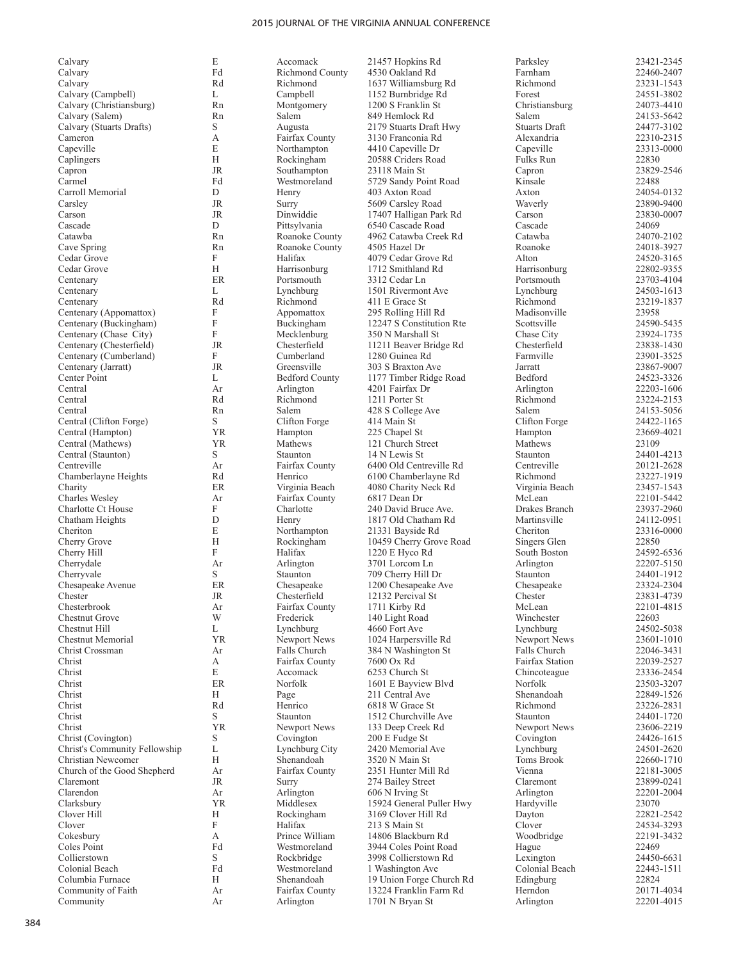| Calvary                       | E         | Accomack               | 21457 Hopkins Rd         | Parksley               | 23421-2345 |
|-------------------------------|-----------|------------------------|--------------------------|------------------------|------------|
| Calvary                       | Fd        | <b>Richmond County</b> | 4530 Oakland Rd          | Farnham                | 22460-2407 |
|                               | Rd        | Richmond               |                          | Richmond               | 23231-1543 |
| Calvary                       |           |                        | 1637 Williamsburg Rd     |                        |            |
| Calvary (Campbell)            | L         | Campbell               | 1152 Burnbridge Rd       | Forest                 | 24551-3802 |
| Calvary (Christiansburg)      | Rn        | Montgomery             | 1200 S Franklin St       | Christiansburg         | 24073-4410 |
| Calvary (Salem)               | Rn        | Salem                  | 849 Hemlock Rd           | Salem                  | 24153-5642 |
| Calvary (Stuarts Drafts)      | S.        | Augusta                | 2179 Stuarts Draft Hwy   | <b>Stuarts Draft</b>   | 24477-3102 |
| Cameron                       | А         | Fairfax County         | 3130 Franconia Rd        | Alexandria             | 22310-2315 |
| Capeville                     | E         | Northampton            | 4410 Capeville Dr        | Capeville              | 23313-0000 |
| Caplingers                    | H         | Rockingham             | 20588 Criders Road       | Fulks Run              | 22830      |
| Capron                        | <b>JR</b> | Southampton            | 23118 Main St            | Capron                 | 23829-2546 |
| Carmel                        | Fd        | Westmoreland           | 5729 Sandy Point Road    | Kinsale                | 22488      |
| Carroll Memorial              | D         | Henry                  | 403 Axton Road           | Axton                  | 24054-0132 |
|                               | <b>JR</b> |                        |                          |                        |            |
| Carsley                       |           | Surry                  | 5609 Carsley Road        | Waverly                | 23890-9400 |
| Carson                        | <b>JR</b> | Dinwiddie              | 17407 Halligan Park Rd   | Carson                 | 23830-0007 |
| Cascade                       | D         | Pittsylvania           | 6540 Cascade Road        | Cascade                | 24069      |
| Catawba                       | Rn        | Roanoke County         | 4962 Catawba Creek Rd    | Catawba                | 24070-2102 |
| Cave Spring                   | Rn        | Roanoke County         | 4505 Hazel Dr            | Roanoke                | 24018-3927 |
| Cedar Grove                   | F         | Halifax                | 4079 Cedar Grove Rd      | Alton                  | 24520-3165 |
| Cedar Grove                   | H         | Harrisonburg           | 1712 Smithland Rd        | Harrisonburg           | 22802-9355 |
| Centenary                     | ER        | Portsmouth             | 3312 Cedar Ln            | Portsmouth             | 23703-4104 |
| Centenary                     | L         | Lynchburg              | 1501 Rivermont Ave       | Lynchburg              | 24503-1613 |
|                               |           |                        |                          |                        |            |
| Centenary                     | Rd        | Richmond               | 411 E Grace St           | Richmond               | 23219-1837 |
| Centenary (Appomattox)        | F         | Appomattox             | 295 Rolling Hill Rd      | Madisonville           | 23958      |
| Centenary (Buckingham)        | F         | Buckingham             | 12247 S Constitution Rte | Scottsville            | 24590-5435 |
| Centenary (Chase City)        | F         | Mecklenburg            | 350 N Marshall St        | Chase City             | 23924-1735 |
| Centenary (Chesterfield)      | <b>JR</b> | Chesterfield           | 11211 Beaver Bridge Rd   | Chesterfield           | 23838-1430 |
| Centenary (Cumberland)        | F         | Cumberland             | 1280 Guinea Rd           | Farmville              | 23901-3525 |
| Centenary (Jarratt)           | <b>JR</b> | Greensville            | 303 S Braxton Ave        | Jarratt                | 23867-9007 |
| Center Point                  | L         | <b>Bedford County</b>  | 1177 Timber Ridge Road   | Bedford                | 24523-3326 |
| Central                       | Ar        | Arlington              | 4201 Fairfax Dr          | Arlington              | 22203-1606 |
| Central                       | Rd        | Richmond               |                          | Richmond               | 23224-2153 |
|                               |           |                        | 1211 Porter St           |                        |            |
| Central                       | Rn        | Salem                  | 428 S College Ave        | Salem                  | 24153-5056 |
| Central (Clifton Forge)       | S         | Clifton Forge          | 414 Main St              | Clifton Forge          | 24422-1165 |
| Central (Hampton)             | YR        | Hampton                | 225 Chapel St            | Hampton                | 23669-4021 |
| Central (Mathews)             | YR        | Mathews                | 121 Church Street        | Mathews                | 23109      |
| Central (Staunton)            | S         | Staunton               | 14 N Lewis St            | Staunton               | 24401-4213 |
| Centreville                   | Ar        | Fairfax County         | 6400 Old Centreville Rd  | Centreville            | 20121-2628 |
| Chamberlayne Heights          | Rd        | Henrico                | 6100 Chamberlayne Rd     | Richmond               | 23227-1919 |
| Charity                       | ER        | Virginia Beach         | 4080 Charity Neck Rd     | Virginia Beach         | 23457-1543 |
| Charles Wesley                | Ar        | Fairfax County         | 6817 Dean Dr             | McLean                 | 22101-5442 |
|                               |           |                        |                          |                        |            |
| Charlotte Ct House            | F         | Charlotte              | 240 David Bruce Ave.     | Drakes Branch          | 23937-2960 |
| Chatham Heights               | ${\rm D}$ | Henry                  | 1817 Old Chatham Rd      | Martinsville           | 24112-0951 |
| Cheriton                      | E         | Northampton            | 21331 Bayside Rd         | Cheriton               | 23316-0000 |
| Cherry Grove                  | H         | Rockingham             | 10459 Cherry Grove Road  | Singers Glen           | 22850      |
| Cherry Hill                   | F         | Halifax                | 1220 E Hyco Rd           | South Boston           | 24592-6536 |
| Cherrydale                    | Ar        | Arlington              | 3701 Lorcom Ln           | Arlington              | 22207-5150 |
| Cherryvale                    | S         | Staunton               | 709 Cherry Hill Dr       | Staunton               | 24401-1912 |
| Chesapeake Avenue             | ER        | Chesapeake             | 1200 Chesapeake Ave      | Chesapeake             | 23324-2304 |
| Chester                       | JR        | Chesterfield           | 12132 Percival St        | Chester                | 23831-4739 |
| Chesterbrook                  |           |                        | 1711 Kirby Rd            |                        |            |
|                               | Ar        | Fairfax County         |                          | McLean                 | 22101-4815 |
| <b>Chestnut Grove</b>         | W         | Frederick              | 140 Light Road           | Winchester             | 22603      |
| Chestnut Hill                 | L         | Lynchburg              | 4660 Fort Ave            | Lynchburg              | 24502-5038 |
| Chestnut Memorial             | <b>YR</b> | Newport News           | 1024 Harpersville Rd     | Newport News           | 23601-1010 |
| Christ Crossman               | Ar        | Falls Church           | 384 N Washington St      | Falls Church           | 22046-3431 |
| Christ                        | А         | Fairfax County         | 7600 Ox Rd               | <b>Fairfax Station</b> | 22039-2527 |
| Christ                        | E         | Accomack               | 6253 Church St           | Chincoteague           | 23336-2454 |
| Christ                        | ER        | Norfolk                | 1601 E Bayview Blvd      | Norfolk                | 23503-3207 |
| Christ                        | H         | Page                   | 211 Central Ave          | Shenandoah             | 22849-1526 |
|                               |           | Henrico                |                          |                        |            |
| Christ                        | Rd        |                        | 6818 W Grace St          | Richmond               | 23226-2831 |
| Christ                        | S         | Staunton               | 1512 Churchville Ave     | Staunton               | 24401-1720 |
| Christ                        | <b>YR</b> | Newport News           | 133 Deep Creek Rd        | Newport News           | 23606-2219 |
| Christ (Covington)            | S         | Covington              | 200 E Fudge St           | Covington              | 24426-1615 |
| Christ's Community Fellowship | L         | Lynchburg City         | 2420 Memorial Ave        | Lynchburg              | 24501-2620 |
| Christian Newcomer            | H         | Shenandoah             | 3520 N Main St           | Toms Brook             | 22660-1710 |
| Church of the Good Shepherd   | Ar        | Fairfax County         | 2351 Hunter Mill Rd      | Vienna                 | 22181-3005 |
| Claremont                     | JR        | Surry                  | 274 Bailey Street        | Claremont              | 23899-0241 |
| Clarendon                     | Ar        | Arlington              | 606 N Irving St          | Arlington              | 22201-2004 |
|                               |           |                        |                          |                        |            |
| Clarksbury                    | YR        | Middlesex              | 15924 General Puller Hwy | Hardyville             | 23070      |
| Clover Hill                   | H         | Rockingham             | 3169 Clover Hill Rd      | Dayton                 | 22821-2542 |
| Clover                        | F         | Halifax                | 213 S Main St            | Clover                 | 24534-3293 |
| Cokesbury                     | А         | Prince William         | 14806 Blackburn Rd       | Woodbridge             | 22191-3432 |
| Coles Point                   | Fd        | Westmoreland           | 3944 Coles Point Road    | Hague                  | 22469      |
| Collierstown                  | S         | Rockbridge             | 3998 Collierstown Rd     | Lexington              | 24450-6631 |
| Colonial Beach                | Fd        | Westmoreland           | 1 Washington Ave         | Colonial Beach         | 22443-1511 |
| Columbia Furnace              | H         | Shenandoah             | 19 Union Forge Church Rd | Edingburg              | 22824      |
| Community of Faith            | Ar        | Fairfax County         | 13224 Franklin Farm Rd   | Herndon                | 20171-4034 |
|                               |           |                        |                          |                        |            |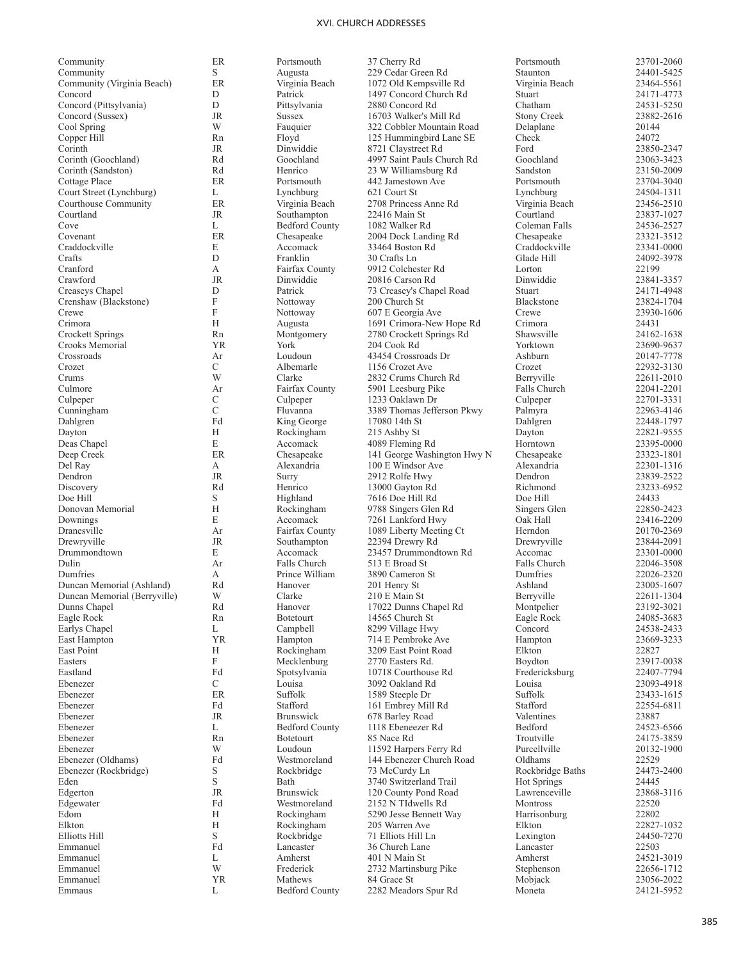| Community                                    | ER            | Portsmouth                           | 37 Cherry Rd                              | Portsmouth                 | 23701-2060               |
|----------------------------------------------|---------------|--------------------------------------|-------------------------------------------|----------------------------|--------------------------|
| Community                                    | S             | Augusta                              | 229 Cedar Green Rd                        | Staunton                   | 24401-5425               |
| Community (Virginia Beach)                   | ER            | Virginia Beach                       | 1072 Old Kempsville Rd                    | Virginia Beach             | 23464-5561               |
| Concord<br>Concord (Pittsylvania)            | D<br>D        | Patrick<br>Pittsylvania              | 1497 Concord Church Rd<br>2880 Concord Rd | Stuart<br>Chatham          | 24171-4773<br>24531-5250 |
| Concord (Sussex)                             | JR            | <b>Sussex</b>                        | 16703 Walker's Mill Rd                    | <b>Stony Creek</b>         | 23882-2616               |
| Cool Spring                                  | W             | Fauquier                             | 322 Cobbler Mountain Road                 | Delaplane                  | 20144                    |
| Copper Hill                                  | Rn            | Floyd                                | 125 Hummingbird Lane SE                   | Check                      | 24072                    |
| Corinth                                      | JR            | Dinwiddie                            | 8721 Claystreet Rd                        | Ford                       | 23850-2347               |
| Corinth (Goochland)                          | Rd            | Goochland                            | 4997 Saint Pauls Church Rd                | Goochland                  | 23063-3423               |
| Corinth (Sandston)                           | Rd            | Henrico                              | 23 W Williamsburg Rd                      | Sandston                   | 23150-2009               |
| Cottage Place                                | ER            | Portsmouth                           | 442 Jamestown Ave                         | Portsmouth                 | 23704-3040               |
| Court Street (Lynchburg)                     | L             | Lynchburg                            | 621 Court St                              | Lynchburg                  | 24504-1311               |
| Courthouse Community                         | ER            | Virginia Beach                       | 2708 Princess Anne Rd                     | Virginia Beach             | 23456-2510               |
| Courtland<br>Cove                            | JR<br>L       | Southampton<br><b>Bedford County</b> | 22416 Main St<br>1082 Walker Rd           | Courtland<br>Coleman Falls | 23837-1027<br>24536-2527 |
| Covenant                                     | ER            | Chesapeake                           | 2004 Dock Landing Rd                      | Chesapeake                 | 23321-3512               |
| Craddockville                                | E             | Accomack                             | 33464 Boston Rd                           | Craddockville              | 23341-0000               |
| Crafts                                       | D             | Franklin                             | 30 Crafts Ln                              | Glade Hill                 | 24092-3978               |
| Cranford                                     | А             | Fairfax County                       | 9912 Colchester Rd                        | Lorton                     | 22199                    |
| Crawford                                     | JR            | Dinwiddie                            | 20816 Carson Rd                           | Dinwiddie                  | 23841-3357               |
| Creaseys Chapel                              | D             | Patrick                              | 73 Creasey's Chapel Road                  | Stuart                     | 24171-4948               |
| Crenshaw (Blackstone)                        | F             | Nottoway                             | 200 Church St                             | Blackstone                 | 23824-1704               |
| Crewe                                        | F             | Nottoway                             | 607 E Georgia Ave                         | Crewe                      | 23930-1606               |
| Crimora                                      | Н             | Augusta                              | 1691 Crimora-New Hope Rd                  | Crimora                    | 24431                    |
| Crockett Springs                             | Rn            | Montgomery                           | 2780 Crockett Springs Rd                  | Shawsville                 | 24162-1638               |
| Crooks Memorial<br>Crossroads                | YR<br>Ar      | York<br>Loudoun                      | 204 Cook Rd<br>43454 Crossroads Dr        | Yorktown<br>Ashburn        | 23690-9637<br>20147-7778 |
| Crozet                                       | C             | Albemarle                            | 1156 Crozet Ave                           | Crozet                     | 22932-3130               |
| Crums                                        | W             | Clarke                               | 2832 Crums Church Rd                      | Berryville                 | 22611-2010               |
| Culmore                                      | Ar            | Fairfax County                       | 5901 Leesburg Pike                        | Falls Church               | 22041-2201               |
| Culpeper                                     | C             | Culpeper                             | 1233 Oaklawn Dr                           | Culpeper                   | 22701-3331               |
| Cunningham                                   | $\mathcal{C}$ | Fluvanna                             | 3389 Thomas Jefferson Pkwy                | Palmyra                    | 22963-4146               |
| Dahlgren                                     | Fd            | King George                          | 17080 14th St                             | Dahlgren                   | 22448-1797               |
| Dayton                                       | Н             | Rockingham                           | 215 Ashby St                              | Dayton                     | 22821-9555               |
| Deas Chapel                                  | E             | Accomack                             | 4089 Fleming Rd                           | Horntown                   | 23395-0000               |
| Deep Creek                                   | ER            | Chesapeake                           | 141 George Washington Hwy N               | Chesapeake                 | 23323-1801               |
| Del Ray                                      | А             | Alexandria                           | 100 E Windsor Ave                         | Alexandria                 | 22301-1316               |
| Dendron<br>Discovery                         | JR<br>Rd      | Surry<br>Henrico                     | 2912 Rolfe Hwy<br>13000 Gayton Rd         | Dendron<br>Richmond        | 23839-2522<br>23233-6952 |
| Doe Hill                                     | S             | Highland                             | 7616 Doe Hill Rd                          | Doe Hill                   | 24433                    |
| Donovan Memorial                             | H             | Rockingham                           | 9788 Singers Glen Rd                      | Singers Glen               | 22850-2423               |
| Downings                                     | E             | Accomack                             | 7261 Lankford Hwy                         | Oak Hall                   | 23416-2209               |
| Dranesville                                  | Ar            | Fairfax County                       | 1089 Liberty Meeting Ct                   | Herndon                    | 20170-2369               |
| Drewryville                                  | JR            | Southampton                          | 22394 Drewry Rd                           | Drewryville                | 23844-2091               |
| Drummondtown                                 | Е             | Accomack                             | 23457 Drummondtown Rd                     | Accomac                    | 23301-0000               |
| Dulin                                        | Ar            | Falls Church                         | 513 E Broad St                            | Falls Church               | 22046-3508               |
| Dumfries                                     | А             | Prince William                       | 3890 Cameron St                           | Dumfries                   | 22026-2320               |
| Duncan Memorial (Ashland)                    | Rd<br>W       | Hanover<br>Clarke                    | 201 Henry St                              | Ashland                    | 23005-1607               |
| Duncan Memorial (Berryville)<br>Dunns Chapel | Rd            | Hanover                              | 210 E Main St<br>17022 Dunns Chapel Rd    | Berryville<br>Montpelier   | 22611-1304<br>23192-3021 |
| Eagle Rock                                   | Rn            | <b>Botetourt</b>                     | 14565 Church St                           | Eagle Rock                 | 24085-3683               |
| Earlys Chapel                                | L             | Campbell                             | 8299 Village Hwy                          | Concord                    | 24538-2433               |
| East Hampton                                 | <b>YR</b>     | Hampton                              | 714 E Pembroke Ave                        | Hampton                    | 23669-3233               |
| East Point                                   | Н             | Rockingham                           | 3209 East Point Road                      | Elkton                     | 22827                    |
| Easters                                      | F             | Mecklenburg                          | 2770 Easters Rd.                          | Boydton                    | 23917-0038               |
| Eastland                                     | Fd            | Spotsylvania                         | 10718 Courthouse Rd                       | Fredericksburg             | 22407-7794               |
| Ebenezer                                     | C             | Louisa                               | 3092 Oakland Rd                           | Louisa                     | 23093-4918               |
| Ebenezer                                     | ER            | Suffolk                              | 1589 Steeple Dr                           | Suffolk                    | 23433-1615               |
| Ebenezer<br>Ebenezer                         | Fd<br>JR      | Stafford<br><b>Brunswick</b>         | 161 Embrey Mill Rd<br>678 Barley Road     | Stafford<br>Valentines     | 22554-6811<br>23887      |
| Ebenezer                                     | L             | <b>Bedford County</b>                | 1118 Ebeneezer Rd                         | Bedford                    | 24523-6566               |
| Ebenezer                                     | Rn            | <b>Botetourt</b>                     | 85 Nace Rd                                | Troutville                 | 24175-3859               |
| Ebenezer                                     | W             | Loudoun                              | 11592 Harpers Ferry Rd                    | Purcellville               | 20132-1900               |
| Ebenezer (Oldhams)                           | Fd            | Westmoreland                         | 144 Ebenezer Church Road                  | Oldhams                    | 22529                    |
| Ebenezer (Rockbridge)                        | S             | Rockbridge                           | 73 McCurdy Ln                             | Rockbridge Baths           | 24473-2400               |
| Eden                                         | S             | Bath                                 | 3740 Switzerland Trail                    | Hot Springs                | 24445                    |
| Edgerton                                     | JR            | <b>Brunswick</b>                     | 120 County Pond Road                      | Lawrenceville              | 23868-3116               |
| Edgewater                                    | Fd            | Westmoreland                         | 2152 N TIdwells Rd                        | <b>Montross</b>            | 22520                    |
| Edom                                         | Н             | Rockingham                           | 5290 Jesse Bennett Way                    | Harrisonburg               | 22802                    |
| Elkton                                       | Н<br>S        | Rockingham                           | 205 Warren Ave                            | Elkton                     | 22827-1032               |
| Elliotts Hill<br>Emmanuel                    | Fd            | Rockbridge<br>Lancaster              | 71 Elliots Hill Ln<br>36 Church Lane      | Lexington<br>Lancaster     | 24450-7270<br>22503      |
| Emmanuel                                     | L             | Amherst                              | 401 N Main St                             | Amherst                    | 24521-3019               |
| Emmanuel                                     | W             | Frederick                            | 2732 Martinsburg Pike                     | Stephenson                 | 22656-1712               |
| Emmanuel                                     | <b>YR</b>     | Mathews                              | 84 Grace St                               | Mobjack                    | 23056-2022               |
| Emmaus                                       | L             | <b>Bedford County</b>                | 2282 Meadors Spur Rd                      | Moneta                     | 24121-5952               |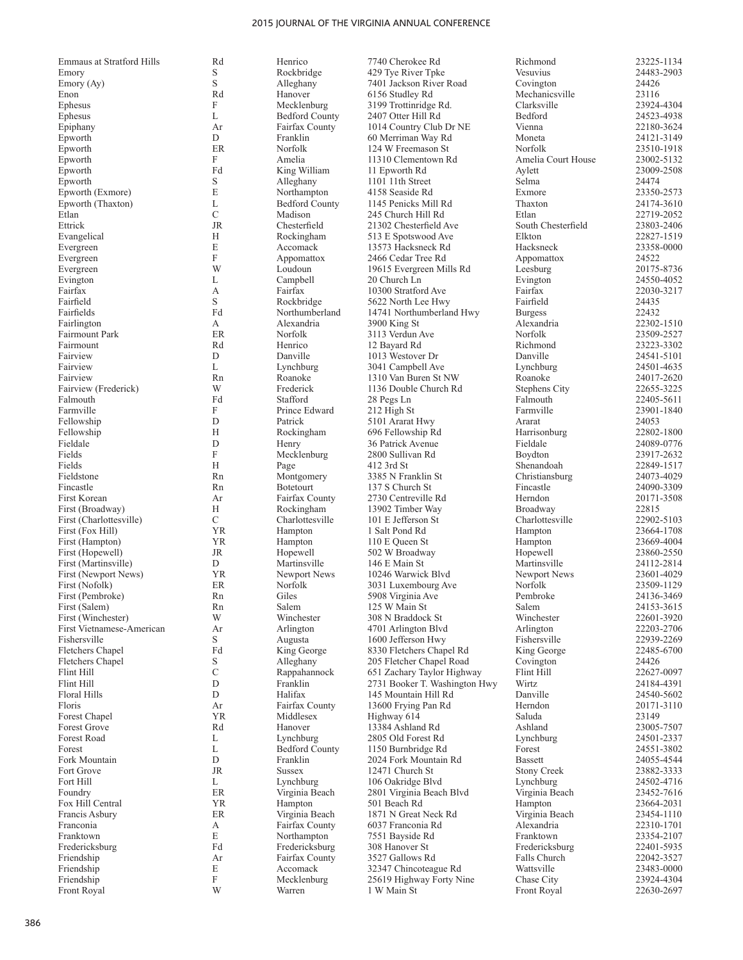| <b>Emmaus at Stratford Hills</b> | Rd            | Henrico               | 7740 Cherokee Rd              | Richmond           | 23225-1134 |
|----------------------------------|---------------|-----------------------|-------------------------------|--------------------|------------|
| Emory                            | S             | Rockbridge            | 429 Tye River Tpke            | Vesuvius           | 24483-2903 |
| Emory (Ay)                       | S             | Alleghany             | 7401 Jackson River Road       | Covington          | 24426      |
| Enon                             | Rd            | Hanover               | 6156 Studley Rd               | Mechanicsville     | 23116      |
| Ephesus                          | F             | Mecklenburg           | 3199 Trottinridge Rd.         | Clarksville        | 23924-4304 |
| Ephesus                          | L             | <b>Bedford County</b> |                               | Bedford            | 24523-4938 |
|                                  |               |                       | 2407 Otter Hill Rd            |                    |            |
| Epiphany                         | Ar            | Fairfax County        | 1014 Country Club Dr NE       | Vienna             | 22180-3624 |
| Epworth                          | D             | Franklin              | 60 Merriman Way Rd            | Moneta             | 24121-3149 |
| Epworth                          | ER            | Norfolk               | 124 W Freemason St            | Norfolk            | 23510-1918 |
| Epworth                          | F             | Amelia                | 11310 Clementown Rd           | Amelia Court House | 23002-5132 |
| Epworth                          | Fd            | King William          | 11 Epworth Rd                 | Aylett             | 23009-2508 |
| Epworth                          | S             | Alleghany             | 1101 11th Street              | Selma              | 24474      |
|                                  |               |                       |                               |                    |            |
| Epworth (Exmore)                 | E             | Northampton           | 4158 Seaside Rd               | Exmore             | 23350-2573 |
| Epworth (Thaxton)                | L             | <b>Bedford County</b> | 1145 Penicks Mill Rd          | Thaxton            | 24174-3610 |
| Etlan                            | $\mathcal{C}$ | Madison               | 245 Church Hill Rd            | Etlan              | 22719-2052 |
| Ettrick                          | <b>JR</b>     | Chesterfield          | 21302 Chesterfield Ave        | South Chesterfield | 23803-2406 |
| Evangelical                      | Н             | Rockingham            | 513 E Spotswood Ave           | Elkton             | 22827-1519 |
| Evergreen                        | E             | Accomack              | 13573 Hacksneck Rd            | Hacksneck          | 23358-0000 |
| Evergreen                        | F             |                       | 2466 Cedar Tree Rd            |                    | 24522      |
|                                  |               | Appomattox            |                               | Appomattox         |            |
| Evergreen                        | W             | Loudoun               | 19615 Evergreen Mills Rd      | Leesburg           | 20175-8736 |
| Evington                         | L             | Campbell              | 20 Church Ln                  | Evington           | 24550-4052 |
| Fairfax                          | А             | Fairfax               | 10300 Stratford Ave           | Fairfax            | 22030-3217 |
| Fairfield                        | S             | Rockbridge            | 5622 North Lee Hwy            | Fairfield          | 24435      |
| Fairfields                       | Fd            | Northumberland        | 14741 Northumberland Hwy      | <b>Burgess</b>     | 22432      |
|                                  | А             | Alexandria            |                               | Alexandria         | 22302-1510 |
| Fairlington                      |               |                       | 3900 King St                  |                    |            |
| Fairmount Park                   | ER            | Norfolk               | 3113 Verdun Ave               | Norfolk            | 23509-2527 |
| Fairmount                        | Rd            | Henrico               | 12 Bayard Rd                  | Richmond           | 23223-3302 |
| Fairview                         | D             | Danville              | 1013 Westover Dr              | Danville           | 24541-5101 |
| Fairview                         | L             | Lynchburg             | 3041 Campbell Ave             | Lynchburg          | 24501-4635 |
| Fairview                         | Rn            | Roanoke               | 1310 Van Buren St NW          | Roanoke            | 24017-2620 |
| Fairview (Frederick)             | W             | Frederick             | 1136 Double Church Rd         | Stephens City      | 22655-3225 |
|                                  |               |                       |                               |                    |            |
| Falmouth                         | Fd            | Stafford              | 28 Pegs Ln                    | Falmouth           | 22405-5611 |
| Farmville                        | F             | Prince Edward         | 212 High St                   | Farmville          | 23901-1840 |
| Fellowship                       | D             | Patrick               | 5101 Ararat Hwy               | Ararat             | 24053      |
| Fellowship                       | H             | Rockingham            | 696 Fellowship Rd             | Harrisonburg       | 22802-1800 |
| Fieldale                         | D             | Henry                 | 36 Patrick Avenue             | Fieldale           | 24089-0776 |
| Fields                           | F             | Mecklenburg           | 2800 Sullivan Rd              | Boydton            | 23917-2632 |
|                                  | H             |                       |                               |                    |            |
| Fields                           |               | Page                  | 412 3rd St                    | Shenandoah         | 22849-1517 |
| Fieldstone                       | Rn            | Montgomery            | 3385 N Franklin St            | Christiansburg     | 24073-4029 |
| Fincastle                        | Rn            | Botetourt             | 137 S Church St               | Fincastle          | 24090-3309 |
| First Korean                     | Ar            | Fairfax County        | 2730 Centreville Rd           | Herndon            | 20171-3508 |
| First (Broadway)                 | Н             | Rockingham            | 13902 Timber Way              | Broadway           | 22815      |
| First (Charlottesville)          | C             | Charlottesville       | 101 E Jefferson St            | Charlottesville    | 22902-5103 |
|                                  | <b>YR</b>     |                       |                               |                    |            |
| First (Fox Hill)                 |               | Hampton               | 1 Salt Pond Rd                | Hampton            | 23664-1708 |
| First (Hampton)                  | YR            | Hampton               | 110 E Queen St                | Hampton            | 23669-4004 |
| First (Hopewell)                 | JR            | Hopewell              | 502 W Broadway                | Hopewell           | 23860-2550 |
| First (Martinsville)             | D             | Martinsville          | 146 E Main St                 | Martinsville       | 24112-2814 |
| First (Newport News)             | <b>YR</b>     | Newport News          | 10246 Warwick Blyd            | Newport News       | 23601-4029 |
| First (Nofolk)                   | ER            | Norfolk               | 3031 Luxembourg Ave           | Norfolk            | 23509-1129 |
| First (Pembroke)                 | Rn            | Giles                 |                               | Pembroke           | 24136-3469 |
|                                  |               |                       | 5908 Virginia Ave             |                    |            |
| First (Salem)                    | Rn            | Salem                 | 125 W Main St                 | Salem              | 24153-3615 |
| First (Winchester)               | W             | Winchester            | 308 N Braddock St             | Winchester         | 22601-3920 |
| First Vietnamese-American        | Ar            | Arlington             | 4701 Arlington Blvd           | Arlington          | 22203-2706 |
| Fishersville                     | S             | Augusta               | 1600 Jefferson Hwy            | Fishersville       | 22939-2269 |
| Fletchers Chapel                 | Fd            | King George           | 8330 Fletchers Chapel Rd      | King George        | 22485-6700 |
| Fletchers Chapel                 | S             | Alleghany             | 205 Fletcher Chapel Road      | Covington          | 24426      |
| Flint Hill                       |               | Rappahannock          |                               |                    |            |
|                                  | С             |                       | 651 Zachary Taylor Highway    | Flint Hill         | 22627-0097 |
| Flint Hill                       | D             | Franklin              | 2731 Booker T. Washington Hwy | Wirtz              | 24184-4391 |
| Floral Hills                     | D             | Halifax               | 145 Mountain Hill Rd          | Danville           | 24540-5602 |
| Floris                           | Ar            | Fairfax County        | 13600 Frying Pan Rd           | Herndon            | 20171-3110 |
| Forest Chapel                    | <b>YR</b>     | Middlesex             | Highway 614                   | Saluda             | 23149      |
| Forest Grove                     | Rd            | Hanover               | 13384 Ashland Rd              | Ashland            | 23005-7507 |
| Forest Road                      | L             | Lynchburg             | 2805 Old Forest Rd            | Lynchburg          | 24501-2337 |
|                                  |               |                       |                               |                    |            |
| Forest                           | L             | <b>Bedford County</b> | 1150 Burnbridge Rd            | Forest             | 24551-3802 |
| Fork Mountain                    | ${\rm D}$     | Franklin              | 2024 Fork Mountain Rd         | <b>Bassett</b>     | 24055-4544 |
| Fort Grove                       | JR            | <b>Sussex</b>         | 12471 Church St               | <b>Stony Creek</b> | 23882-3333 |
| Fort Hill                        | L             | Lynchburg             | 106 Oakridge Blvd             | Lynchburg          | 24502-4716 |
| Foundry                          | ER            | Virginia Beach        | 2801 Virginia Beach Blvd      | Virginia Beach     | 23452-7616 |
| Fox Hill Central                 | YR            | Hampton               | 501 Beach Rd                  | Hampton            | 23664-2031 |
|                                  | ER            |                       | 1871 N Great Neck Rd          |                    |            |
| Francis Asbury                   |               | Virginia Beach        |                               | Virginia Beach     | 23454-1110 |
| Franconia                        | А             | Fairfax County        | 6037 Franconia Rd             | Alexandria         | 22310-1701 |
| Franktown                        | E             | Northampton           | 7551 Bayside Rd               | Franktown          | 23354-2107 |
| Fredericksburg                   | Fd            | Fredericksburg        | 308 Hanover St                | Fredericksburg     | 22401-5935 |
| Friendship                       | Ar            | Fairfax County        | 3527 Gallows Rd               | Falls Church       | 22042-3527 |
| Friendship                       | E             | Accomack              | 32347 Chincoteague Rd         | Wattsville         | 23483-0000 |
| Friendship                       | F             | Mecklenburg           | 25619 Highway Forty Nine      | Chase City         | 23924-4304 |
|                                  |               |                       |                               |                    |            |

Front Royal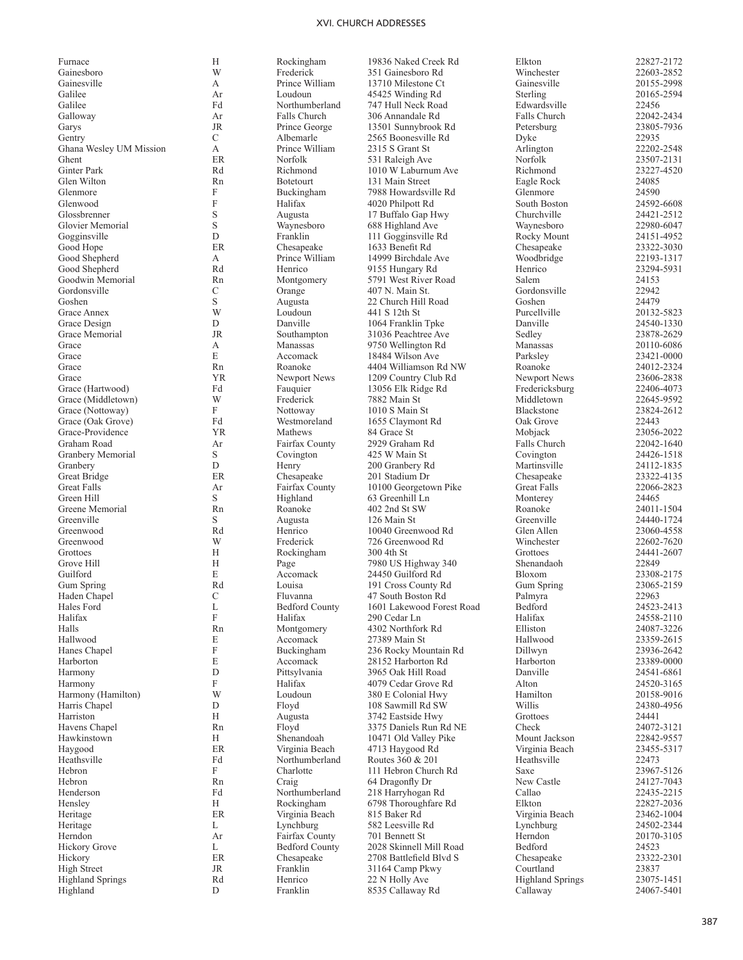| Furnace                 | Н              | Rockingham                       | 19836 Naked Creek Rd                            | Elkton                  | 22827-2172               |
|-------------------------|----------------|----------------------------------|-------------------------------------------------|-------------------------|--------------------------|
| Gainesboro              | W              | Frederick                        | 351 Gainesboro Rd                               | Winchester              | 22603-2852               |
| Gainesville             | А              | Prince William                   | 13710 Milestone Ct                              | Gainesville             | 20155-2998               |
| Galilee                 | Ar             | Loudoun                          | 45425 Winding Rd                                | Sterling                | 20165-2594               |
| Galilee                 | Fd             | Northumberland                   | 747 Hull Neck Road                              | Edwardsville            | 22456                    |
| Galloway                | Ar             | Falls Church                     | 306 Annandale Rd                                | Falls Church            | 22042-2434               |
| Garys                   | <b>JR</b>      | Prince George                    | 13501 Sunnybrook Rd                             | Petersburg              | 23805-7936               |
| Gentry                  | C              | Albemarle                        | 2565 Boonesville Rd                             | Dyke                    | 22935                    |
| Ghana Wesley UM Mission | А<br><b>ER</b> | Prince William                   | 2315 S Grant St                                 | Arlington               | 22202-2548               |
| Ghent<br>Ginter Park    | Rd             | Norfolk<br>Richmond              | 531 Raleigh Ave<br>1010 W Laburnum Ave          | Norfolk<br>Richmond     | 23507-2131<br>23227-4520 |
| Glen Wilton             | Rn             | <b>Botetourt</b>                 | 131 Main Street                                 | Eagle Rock              | 24085                    |
| Glenmore                | F              | Buckingham                       | 7988 Howardsville Rd                            | Glenmore                | 24590                    |
| Glenwood                | F              | Halifax                          | 4020 Philpott Rd                                | South Boston            | 24592-6608               |
| Glossbrenner            | S              | Augusta                          | 17 Buffalo Gap Hwy                              | Churchville             | 24421-2512               |
| Glovier Memorial        | S              | Waynesboro                       | 688 Highland Ave                                | Waynesboro              | 22980-6047               |
| Gogginsville            | $\mathbf D$    | Franklin                         | 111 Gogginsville Rd                             | Rocky Mount             | 24151-4952               |
| Good Hope               | ER             | Chesapeake                       | 1633 Benefit Rd                                 | Chesapeake              | 23322-3030               |
| Good Shepherd           | А              | Prince William                   | 14999 Birchdale Ave                             | Woodbridge              | 22193-1317               |
| Good Shepherd           | Rd             | Henrico                          | 9155 Hungary Rd                                 | Henrico                 | 23294-5931               |
| Goodwin Memorial        | Rn             | Montgomery                       | 5791 West River Road                            | Salem                   | 24153                    |
| Gordonsville            | С              | Orange                           | 407 N. Main St.                                 | Gordonsville            | 22942                    |
| Goshen                  | S              | Augusta                          | 22 Church Hill Road                             | Goshen                  | 24479                    |
| Grace Annex             | W              | Loudoun                          | 441 S 12th St                                   | Purcellville            | 20132-5823               |
| Grace Design            | D              | Danville                         | 1064 Franklin Tpke                              | Danville                | 24540-1330               |
| Grace Memorial          | <b>JR</b>      | Southampton                      | 31036 Peachtree Ave                             | Sedley                  | 23878-2629               |
| Grace                   | А              | Manassas                         | 9750 Wellington Rd                              | Manassas                | 20110-6086               |
| Grace                   | E              | Accomack                         | 18484 Wilson Ave                                | Parksley                | 23421-0000               |
| Grace                   | Rn             | Roanoke                          | 4404 Williamson Rd NW                           | Roanoke                 | 24012-2324               |
| Grace                   | <b>YR</b>      | Newport News                     | 1209 Country Club Rd                            | Newport News            | 23606-2838               |
| Grace (Hartwood)        | Fd             | Fauquier                         | 13056 Elk Ridge Rd                              | Fredericksburg          | 22406-4073               |
| Grace (Middletown)      | W              | Frederick                        | 7882 Main St                                    | Middletown              | 22645-9592               |
| Grace (Nottoway)        | F              | Nottoway                         | 1010 S Main St                                  | Blackstone              | 23824-2612               |
| Grace (Oak Grove)       | Fd             | Westmoreland                     | 1655 Claymont Rd                                | Oak Grove               | 22443                    |
| Grace-Providence        | <b>YR</b>      | Mathews                          | 84 Grace St                                     | Mobjack                 | 23056-2022               |
| Graham Road             | Ar             | Fairfax County                   | 2929 Graham Rd                                  | Falls Church            | 22042-1640               |
| Granbery Memorial       | S              | Covington                        | 425 W Main St                                   | Covington               | 24426-1518               |
| Granbery                | D              | Henry                            | 200 Granbery Rd                                 | Martinsville            | 24112-1835               |
| Great Bridge            | ER             | Chesapeake                       | 201 Stadium Dr                                  | Chesapeake              | 23322-4135               |
| <b>Great Falls</b>      | Ar             | Fairfax County                   | 10100 Georgetown Pike                           | Great Falls             | 22066-2823               |
| Green Hill              | S              | Highland                         | 63 Greenhill Ln                                 | Monterey                | 24465                    |
| Greene Memorial         | Rn             | Roanoke                          | 402 2nd St SW                                   | Roanoke                 | 24011-1504               |
| Greenville              | S              | Augusta                          | 126 Main St                                     | Greenville              | 24440-1724               |
| Greenwood               | Rd             | Henrico                          | 10040 Greenwood Rd                              | Glen Allen              | 23060-4558               |
| Greenwood               | W              | Frederick                        | 726 Greenwood Rd                                | Winchester              | 22602-7620               |
| Grottoes                | Н              | Rockingham                       | 300 4th St                                      | Grottoes                | 24441-2607               |
| Grove Hill              | Н              | Page                             | 7980 US Highway 340                             | Shenandaoh              | 22849                    |
| Guilford                | E              | Accomack                         | 24450 Guilford Rd                               | Bloxom                  | 23308-2175               |
| Gum Spring              | Rd             | Louisa                           | 191 Cross County Rd                             | Gum Spring              | 23065-2159               |
| Haden Chapel            | $\mathcal{C}$  | Fluvanna                         | 47 South Boston Rd<br>1601 Lakewood Forest Road | Palmyra                 | 22963<br>24523-2413      |
| Hales Ford<br>Halifax   | L<br>F         | <b>Bedford County</b><br>Halifax |                                                 | Bedford<br>Halifax      |                          |
| Halls                   | Rn             | Montgomery                       | 290 Cedar Ln<br>4302 Northfork Rd               | Elliston                | 24558-2110<br>24087-3226 |
| Hallwood                | E              | Accomack                         | 27389 Main St                                   | Hallwood                | 23359-2615               |
| Hanes Chapel            | F              | Buckingham                       | 236 Rocky Mountain Rd                           | Dillwyn                 | 23936-2642               |
| Harborton               | E              | Accomack                         | 28152 Harborton Rd                              | Harborton               | 23389-0000               |
| Harmony                 | D              | Pittsylvania                     | 3965 Oak Hill Road                              | Danville                | 24541-6861               |
| Harmony                 | F              | Halifax                          | 4079 Cedar Grove Rd                             | Alton                   | 24520-3165               |
| Harmony (Hamilton)      | W              | Loudoun                          | 380 E Colonial Hwy                              | Hamilton                | 20158-9016               |
| Harris Chapel           | D              | Floyd                            | 108 Sawmill Rd SW                               | Willis                  | 24380-4956               |
| Harriston               | Н              | Augusta                          | 3742 Eastside Hwy                               | Grottoes                | 24441                    |
| Havens Chapel           | Rn             | Floyd                            | 3375 Daniels Run Rd NE                          | Check                   | 24072-3121               |
| Hawkinstown             | H              | Shenandoah                       | 10471 Old Valley Pike                           | Mount Jackson           | 22842-9557               |
| Haygood                 | ER             | Virginia Beach                   | 4713 Haygood Rd                                 | Virginia Beach          | 23455-5317               |
| Heathsville             | Fd             | Northumberland                   | Routes 360 & 201                                | Heathsville             | 22473                    |
| Hebron                  | F              | Charlotte                        | 111 Hebron Church Rd                            | Saxe                    | 23967-5126               |
| Hebron                  | Rn             | Craig                            | 64 Dragonfly Dr                                 | New Castle              | 24127-7043               |
| Henderson               | Fd             | Northumberland                   | 218 Harryhogan Rd                               | Callao                  | 22435-2215               |
| Hensley                 | Н              | Rockingham                       | 6798 Thoroughfare Rd                            | Elkton                  | 22827-2036               |
| Heritage                | ER             | Virginia Beach                   | 815 Baker Rd                                    | Virginia Beach          | 23462-1004               |
| Heritage                | L              | Lynchburg                        | 582 Leesville Rd                                | Lynchburg               | 24502-2344               |
| Herndon                 | Ar             | Fairfax County                   | 701 Bennett St                                  | Herndon                 | 20170-3105               |
| Hickory Grove           | L              | <b>Bedford County</b>            | 2028 Skinnell Mill Road                         | Bedford                 | 24523                    |
| Hickory                 | ER             | Chesapeake                       | 2708 Battlefield Blvd S                         | Chesapeake              | 23322-2301               |
| <b>High Street</b>      | <b>JR</b>      | Franklin                         | 31164 Camp Pkwy                                 | Courtland               | 23837                    |
| <b>Highland Springs</b> | Rd             | Henrico                          | 22 N Holly Ave                                  | <b>Highland Springs</b> | 23075-1451               |
| Highland                | D              | Franklin                         | 8535 Callaway Rd                                | Callaway                | 24067-5401               |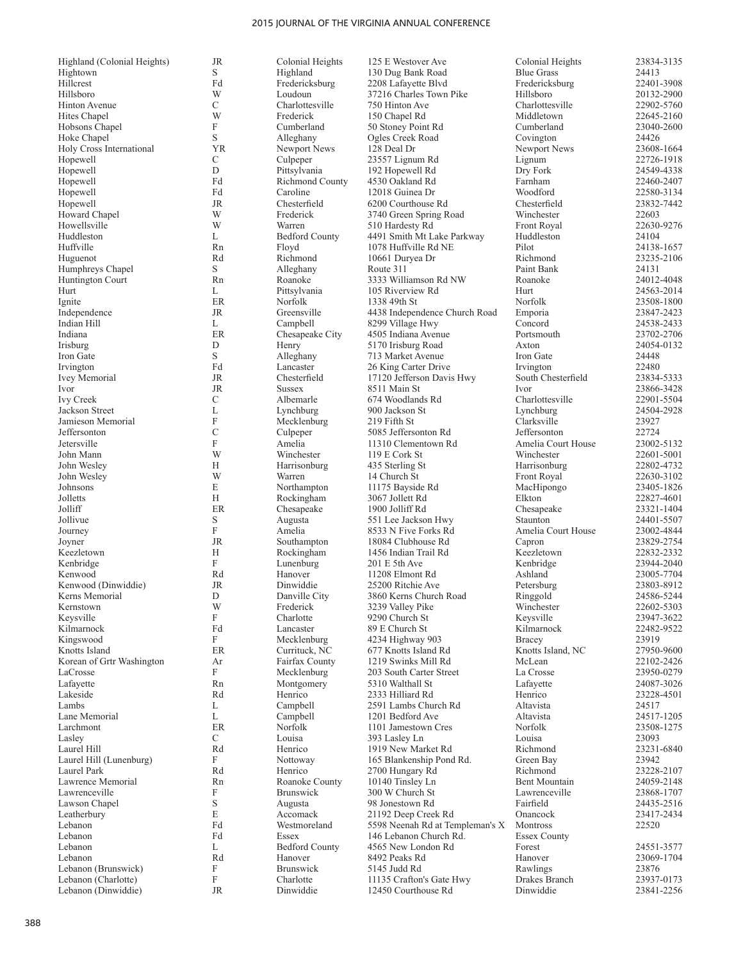| Highland (Colonial Heights) | JR          | Colonial Heights       | 125 E Westover Ave              | Colonial Heights    | 23834-3135 |
|-----------------------------|-------------|------------------------|---------------------------------|---------------------|------------|
| Hightown                    | S           | Highland               | 130 Dug Bank Road               | <b>Blue Grass</b>   | 24413      |
| Hillcrest                   | Fd          | Fredericksburg         | 2208 Lafayette Blvd             | Fredericksburg      | 22401-3908 |
| Hillsboro                   | W           | Loudoun                | 37216 Charles Town Pike         | Hillsboro           | 20132-2900 |
| Hinton Avenue               | $\mathbf C$ | Charlottesville        | 750 Hinton Ave                  | Charlottesville     | 22902-5760 |
| Hites Chapel                | W           | Frederick              |                                 | Middletown          | 22645-2160 |
|                             |             |                        | 150 Chapel Rd                   |                     |            |
| Hobsons Chapel              | F           | Cumberland             | 50 Stoney Point Rd              | Cumberland          | 23040-2600 |
| Hoke Chapel                 | S           | Alleghany              | Ogles Creek Road                | Covington           | 24426      |
| Holy Cross International    | <b>YR</b>   | Newport News           | 128 Deal Dr                     | Newport News        | 23608-1664 |
| Hopewell                    | C           | Culpeper               | 23557 Lignum Rd                 | Lignum              | 22726-1918 |
| Hopewell                    | D           | Pittsylvania           | 192 Hopewell Rd                 | Dry Fork            | 24549-4338 |
| Hopewell                    | Fd          | <b>Richmond County</b> | 4530 Oakland Rd                 | Farnham             | 22460-2407 |
| Hopewell                    | Fd          | Caroline               | 12018 Guinea Dr                 | Woodford            | 22580-3134 |
| Hopewell                    | <b>JR</b>   | Chesterfield           | 6200 Courthouse Rd              | Chesterfield        | 23832-7442 |
| Howard Chapel               | W           | Frederick              | 3740 Green Spring Road          | Winchester          | 22603      |
| Howellsville                | W           | Warren                 | 510 Hardesty Rd                 | Front Royal         | 22630-9276 |
| Huddleston                  | L           | <b>Bedford County</b>  | 4491 Smith Mt Lake Parkway      | Huddleston          | 24104      |
| Huffville                   | Rn          | Floyd                  | 1078 Huffville Rd NE            | Pilot               | 24138-1657 |
| Huguenot                    | Rd          | Richmond               | 10661 Duryea Dr                 | Richmond            | 23235-2106 |
| Humphreys Chapel            | S           | Alleghany              | Route 311                       | Paint Bank          | 24131      |
|                             |             |                        |                                 |                     |            |
| Huntington Court            | Rn          | Roanoke                | 3333 Williamson Rd NW           | Roanoke             | 24012-4048 |
| Hurt                        | L           | Pittsylvania           | 105 Riverview Rd                | Hurt                | 24563-2014 |
| Ignite                      | ER          | Norfolk                | 1338 49th St                    | Norfolk             | 23508-1800 |
| Independence                | <b>JR</b>   | Greensville            | 4438 Independence Church Road   | Emporia             | 23847-2423 |
| Indian Hill                 | L           | Campbell               | 8299 Village Hwy                | Concord             | 24538-2433 |
| Indiana                     | <b>ER</b>   | Chesapeake City        | 4505 Indiana Avenue             | Portsmouth          | 23702-2706 |
| Irisburg                    | D           | Henry                  | 5170 Irisburg Road              | Axton               | 24054-0132 |
| Iron Gate                   | S           | Alleghany              | 713 Market Avenue               | Iron Gate           | 24448      |
| Irvington                   | Fd          | Lancaster              | 26 King Carter Drive            | Irvington           | 22480      |
| <b>Ivey Memorial</b>        | JR          | Chesterfield           | 17120 Jefferson Davis Hwy       | South Chesterfield  | 23834-5333 |
| Ivor                        | <b>JR</b>   | <b>Sussex</b>          | 8511 Main St                    | Ivor                | 23866-3428 |
| Ivy Creek                   | $\mathbf C$ | Albemarle              | 674 Woodlands Rd                | Charlottesville     | 22901-5504 |
| Jackson Street              | L           | Lynchburg              | 900 Jackson St                  | Lynchburg           | 24504-2928 |
| Jamieson Memorial           | F           | Mecklenburg            | 219 Fifth St                    | Clarksville         | 23927      |
| Jeffersonton                | C           |                        | 5085 Jeffersonton Rd            | Jeffersonton        | 22724      |
|                             | F           | Culpeper               |                                 |                     |            |
| Jetersville                 |             | Amelia                 | 11310 Clementown Rd             | Amelia Court House  | 23002-5132 |
| John Mann                   | W           | Winchester             | 119 E Cork St                   | Winchester          | 22601-5001 |
| John Wesley                 | Н           | Harrisonburg           | 435 Sterling St                 | Harrisonburg        | 22802-4732 |
| John Wesley                 | W           | Warren                 | 14 Church St                    | Front Royal         | 22630-3102 |
| Johnsons                    | E           | Northampton            | 11175 Bayside Rd                | MacHipongo          | 23405-1826 |
| Jolletts                    | H           | Rockingham             | 3067 Jollett Rd                 | Elkton              | 22827-4601 |
| Jolliff                     | <b>ER</b>   | Chesapeake             | 1900 Jolliff Rd                 | Chesapeake          | 23321-1404 |
| Jollivue                    | S           | Augusta                | 551 Lee Jackson Hwy             | Staunton            | 24401-5507 |
| Journey                     | F           | Amelia                 | 8533 N Five Forks Rd            | Amelia Court House  | 23002-4844 |
| Joyner                      | JR          | Southampton            | 18084 Clubhouse Rd              | Capron              | 23829-2754 |
| Keezletown                  | Н           | Rockingham             | 1456 Indian Trail Rd            | Keezletown          | 22832-2332 |
| Kenbridge                   | F           | Lunenburg              | 201 E 5th Ave                   | Kenbridge           | 23944-2040 |
| Kenwood                     | Rd          | Hanover                | 11208 Elmont Rd                 | Ashland             | 23005-7704 |
| Kenwood (Dinwiddie)         | <b>JR</b>   | Dinwiddie              | 25200 Ritchie Ave               |                     | 23803-8912 |
|                             |             |                        |                                 | Petersburg          |            |
| Kerns Memorial              | D           | Danville City          | 3860 Kerns Church Road          | Ringgold            | 24586-5244 |
| Kernstown                   | W           | Frederick              | 3239 Valley Pike                | Winchester          | 22602-5303 |
| Keysville                   | F           | Charlotte              | 9290 Church St                  | Keysville           | 23947-3622 |
| Kilmarnock                  | Fd          | Lancaster              | 89 E Church St                  | Kilmarnock          | 22482-9522 |
| Kingswood                   | F           | Mecklenburg            | 4234 Highway 903                | Bracey              | 23919      |
| Knotts Island               | ER          | Currituck, NC          | 677 Knotts Island Rd            | Knotts Island, NC   | 27950-9600 |
| Korean of Grtr Washington   | Ar          | Fairfax County         | 1219 Swinks Mill Rd             | McLean              | 22102-2426 |
| LaCrosse                    | F           | Mecklenburg            | 203 South Carter Street         | La Crosse           | 23950-0279 |
| Lafayette                   | Rn          | Montgomery             | 5310 Walthall St                | Lafayette           | 24087-3026 |
| Lakeside                    | Rd          | Henrico                | 2333 Hilliard Rd                | Henrico             | 23228-4501 |
| Lambs                       | L           | Campbell               | 2591 Lambs Church Rd            | Altavista           | 24517      |
| Lane Memorial               | L           | Campbell               | 1201 Bedford Ave                | Altavista           | 24517-1205 |
| Larchmont                   | ER          | Norfolk                | 1101 Jamestown Cres             | Norfolk             | 23508-1275 |
| Lasley                      | $\mathbf C$ | Louisa                 | 393 Lasley Ln                   | Louisa              | 23093      |
| Laurel Hill                 | Rd          | Henrico                | 1919 New Market Rd              | Richmond            | 23231-6840 |
| Laurel Hill (Lunenburg)     | F           | Nottoway               | 165 Blankenship Pond Rd.        | Green Bay           | 23942      |
| Laurel Park                 | Rd          | Henrico                | 2700 Hungary Rd                 | Richmond            | 23228-2107 |
|                             |             |                        | 10140 Tinsley Ln                |                     |            |
| Lawrence Memorial           | Rn          | Roanoke County         |                                 | Bent Mountain       | 24059-2148 |
| Lawrenceville               | F           | Brunswick              | 300 W Church St                 | Lawrenceville       | 23868-1707 |
| Lawson Chapel               | $\mathbf S$ | Augusta                | 98 Jonestown Rd                 | Fairfield           | 24435-2516 |
| Leatherbury                 | E           | Accomack               | 21192 Deep Creek Rd             | Onancock            | 23417-2434 |
| Lebanon                     | Fd          | Westmoreland           | 5598 Neenah Rd at Templeman's X | Montross            | 22520      |
| Lebanon                     | Fd          | Essex                  | 146 Lebanon Church Rd.          | <b>Essex County</b> |            |
| Lebanon                     | L           | <b>Bedford County</b>  | 4565 New London Rd              | Forest              | 24551-3577 |
| Lebanon                     | Rd          | Hanover                | 8492 Peaks Rd                   | Hanover             | 23069-1704 |
| Lebanon (Brunswick)         | F           | <b>Brunswick</b>       | 5145 Judd Rd                    | Rawlings            | 23876      |
| Lebanon (Charlotte)         | F           | Charlotte              | 11135 Crafton's Gate Hwy        | Drakes Branch       | 23937-0173 |
|                             |             |                        |                                 |                     |            |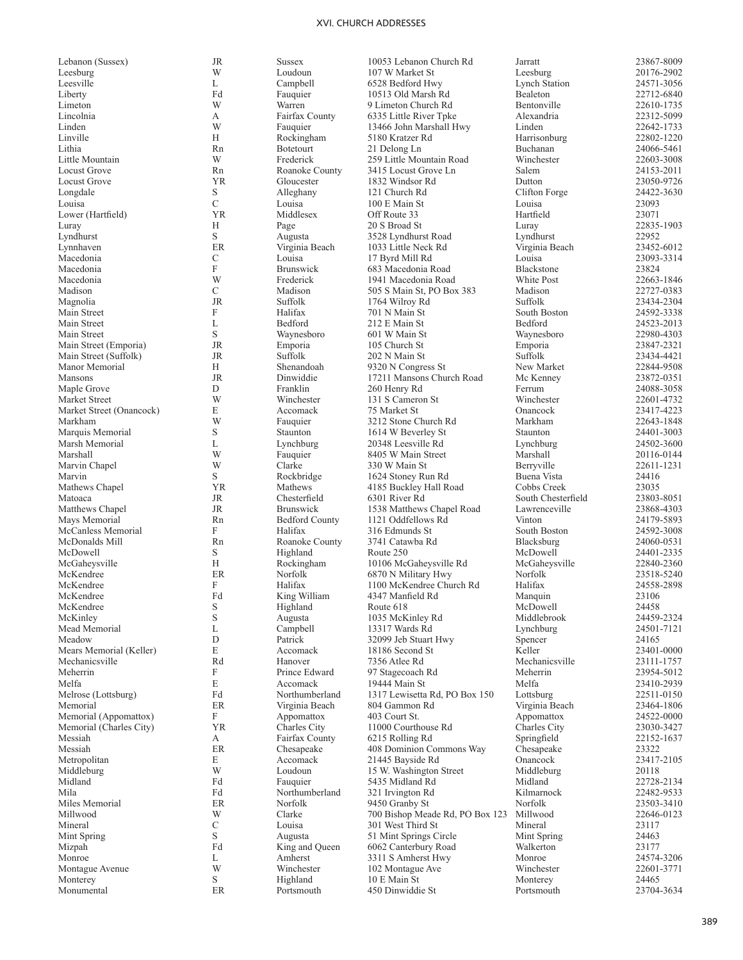Leesburg Leesville<br>Liberty Liberty **Fd** Fauquier 10513 Old Marsh Rd Bealeton 22712-6840 Limeton Lincolnia Linden Linville<br>Lithia Lithia **Rn** Botetourt 21 Delong Ln Buchanan 24066-5461 Little Mountain Locust Grove YR Gloucester 1832 Windsor Rd Dutton 23050-9726 Longdale Louisa Lower (Hartfield) YR Middlesex Off Route 33 Hartfield 23071 Luray Lyndhurst Macedonia Macedonia Macedonia Madison<br>Magnolia Magnolia JR Suffolk 1764 Wilroy Rd Suffolk 23434-2304 Main Street Main Street Main Street Main Street (Emporia) JR Emporia 105 Church St Emporia 23847-2321 Main Street (Suffolk) JR Suffolk 202 N Main St<br>Manor Memorial H Shenandoah 9320 N Congress St New Market 22844-9508 Manor Memorial<br>Mansons Maple Grove Market Street Market Street (Onancock) Markham Marquis Memorial Marsh Memorial Marshall Marvin Chapel Marvin<br>Mathews Chapel Matoaca JR Chesterfield 6301 River Rd South Chesterfield 23803-8051 Matthews Chapel 1538 Matthews Chapel Road Lawrenceville 23868-4303<br>Mays Memorial 171 Mars Memorial Rn Bedford County 1121 Oddfellows Rd Vinton 24179-5893 Mays Memorial **Rn** Bedford County 1121 Oddfellows Rd Vinton 24179-5893 McCanless Memorial<br>McDonalds Mill McDonalds Mill **Rn** Roanoke County 2441 Catawba Rd Blacksburg 24060-0531 McDowell McGaheysville<br>McKendree McKendree<br>McKendree McKendree McKinley Mead Memorial Meadow Mears Memorial (Keller) Mechanicsville 23111-1757 Rd Hanover 7356 Atlee Rd Mechanicsville 23111-1757 Meherrin Melfa<br>Melrose (Lottsburg) Melrose (Lottsburg) 6 150 Fd 1317 Lewisetta Rd, PO Box 150 Lottsburg 22511-0150<br>Memorial 1317 Lewisetta Rd, PO Box 150 Lottsburg 23464-1806 Memorial ER Virginia Beach 804 Gammon Rd Virginia Beach 23464-1806 Memorial (Appomattox) Memorial (Charles City)  $YR$  Charles City 11000 Courthouse Rd Charles City 23030-3427<br>Messiah A Fairfax County 6215 Rolling Rd Springfield 22152-1637 Messiah<br>Messiah Metropolitan Middleburg<br>Midland Midland Fd Fauquier 5435 Midland Rd Midland 22728-2134 Mila Mila Fd Northumberland 321 Irvington Rd Kilmarnock 22482-9533<br>Miles Memorial ER Norfolk 9450 Granby St Norfolk 23503-3410 Miles Memorial **ER** Norfolk 9450 Granby St Norfolk 23503-3410 Millwood Mineral Mint Spring Mizpah Fd King and Queen 6062 Canterbury Road Walkerton 23177 Monroe Montague Avenue

Monterey<br>Monumental

E Accomack 21445 Bayside Rd<br>W Loudoun 15 W Washington

Lebanon (Sussex) JR Sussex 10053 Lebanon Church Rd Jarratt 23867-8009 W Loudoun 107 W Market St Leesburg 20176-2902<br>
Lynch Station 24571-3056<br>
24571-3056 L Campbell 6528 Bedford Hwy Lynch Station 24571-3056<br>Fd Fauguier 10513 Old Marsh Rd Bealeton 22712-6840 W Warren 9 Limeton Church Rd Bentonville 22610-1735<br>
A Fairfax County 6335 Little River Tpke Alexandria 22312-5099 A Fairfax County 6335 Little River Tpke Alexandria 22312-5099<br>W Fauguier 13466 John Marshall Hwy Linden 22642-1733 W Fauquier 13466 John Marshall Hwy Linden 22642-1733<br>
H Rockingham 5180 Kratzer Rd Harrisonburg 22802-1220 H Rockingham 5180 Kratzer Rd Harrisonburg 22802-1220<br>
Rn Botetourt 21 Delong Ln Buchanan 24066-5461 W Frederick 259 Little Mountain Road Winchester 22603-3008<br>
Rn Roanoke County 3415 Locust Grove Ln Salem 24153-2011 Rn Roanoke County 3415 Locust Grove Ln Salem 24153-2011<br>
1832 Windsor Rd Dutton 23050-9726 S Alleghany 121 Church Rd Clifton Forge 24422-3630 C Louisa 100 E Main St Louisa 23093 H Page 20 S Broad St Luray Luray 22835-1903 S Augusta 19528 Lyndhurst Road Lyndhurst 22952<br>
ER Virginia Beach 1033 Little Neck Rd Virginia Beach 23452-6012 ER Virginia Beach 1033 Little Neck Rd Virginia Beach 23452-6012<br>C Louisa 17 Byrd Mill Rd Louisa 23093-3314 C Louisa 17 Byrd Mill Rd Louisa 23093-33093<br>F Brunswick 683 Macedonia Road Blackstone 23824 F Brunswick 683 Macedonia Road Blackstone 23824<br>
White Post 22663-1846<br>
Prederick 1941 Macedonia Road White Post 22663-1846 W Frederick 1941 Macedonia Road<br>C Madison 505 S Main St, PO Box C Madison 505 S Main St, PO Box 383 Madison 22727-0383<br>
JR Suffolk 1764 Wilroy Rd Suffolk 23434-2304 F F Halifax 701 N Main St South Boston 24592-3338 L Bedford 212 E Main St Bedford 24523-2013 S Waynesboro 601 W Main St Waynesboro 22980-4303 H Shenandoah 9320 N Congress St New Market 22844-9508<br>IR Dinwiddie 17211 Mansons Church Road Mc Kenney 23872-0351 Mansons JR Dinwiddie 17211 Mansons Church Road Mc Kenney 23872-0351 D Franklin 260 Henry Rd Ferrum 24088-3058<br>Winchester 131 S Cameron St Winchester 22601-4732 W Winchester 131 S Cameron St Winchester 22601-4732<br>E Accomack 75 Market St Chancock 23417-4223 E Accomack 75 Market St Onancock 23417-4223 W Fauquier 3212 Stone Church Rd Markham 22643-1848<br>Staunton 1614 W Beverley St Staunton 24401-3003 S Staunton 1614 W Beverley St Staunton 24401-3003<br>
Lynchburg 20348 Leesville Rd Lynchburg 24502-3600 L Lynchburg 20348 Leesville Rd Lynchburg 24502-3600<br>
W Fauquier 8405 W Main Street Marshall 20116-0144 W Fauquier 8405 W Main Street Marshall 20116-0144<br>W Clarke 330 W Main St Berryville 22611-1231 W Clarke 330 W Main St Berryville 22611-1231 S Rockbridge 1624 Stoney Run Rd Buena Vista 24416<br>
SR Mathews 4185 Buckley Hall Road Cobbs Creek 23035 VR Mathews 4185 Buckley Hall Road Cobbs Creek 23035<br>
IR Chesterfield 6301 River Rd South Chesterfield 23803-8051 F F Halifax 316 Edmunds St South Boston 24592-3008 S Highland Route 250 McDowell 24401-2335 H Rockingham 10106 McGaheysville Rd McGaheysville 22840-2360<br>ER Norfolk 6870 N Military Hwy Norfolk 23518-5240 ER Norfolk 6870 N Military Hwy Norfolk 23518-5240<br>F Halifax 1100 McKendree Church Rd Halifax 24558-2898 F Halifax 1100 McKendree Church Rd Halifax 24558<br>Fd King William 4347 Manfield Rd Manquin 23106 Fd King William 4347 Manfield Rd Manquin 23106<br>S Highland Route 618 McDowell 24458 S Highland Route 618 McDowell 24458 S Augusta 1035 McKinley Rd Middlebrook 24459-2324<br>
Lynchburg 24501-7121 21601-7121 L Campbell 13317 Wards Rd Lynchburg 24501-712165 Lynchburg 24501-712165 Lynchburg 24501-71212165 D Patrick 32099 Jeb Stuart Hwy Spencer 24165<br>E Accomack 18186 Second St Keller 23401-0000 E Accomack 18186 Second St Reller 23401-0000<br>Rd Hanover 7356 Atlee Rd Mechanicsville 23111-1757 F Prince Edward 97 Stagecoach Rd<br>
Recomment 19444 Main St Melfa Melfa 23410-2939 E Accomack 19444 Main St Melfa 23410-2939 F Appomattox 403 Court St. Appomattox 24522-0000 A Fairfax County 6215 Rolling Rd Springfield 22152<br>ER Chesapeake 408 Dominion Commons Way Chesapeake 23322 ER Chesapeake 408 Dominion Commons Way Chesapeake 23322<br>E Accomack 21445 Bayside Rd Onancock 23417-2105 W Loudoun 15 W. Washington Street Middleburg 20118<br>
Fd Fauguier 5435 Midland Rd Midland 22728-2134 W Clarke 700 Bishop Meade Rd, PO Box 123 Millwood 22646-0123<br>C Louisa 301 West Third St Mineral 23117 C Louisa 301 West Third St Mineral 23117<br>S Augusta 51 Mint Springs Circle Mint Spring 24463 S Augusta 51 Mint Springs Circle Mint Sprin<br>Fd King and Queen 6062 Canterbury Road Walkerton L Amherst 3311 S Amherst Hwy Monroe 24574-3206<br>Winchester 102 Montague Ave Winchester 22601-3771 W Winchester 102 Montague Ave Winchester 22601-<br>S Highland 10 E Main St Monterey 24465 S Highland 10 E Main St Monterey 24465

Monumental ER Portsmouth 450 Dinwiddie St Portsmouth 23704-3634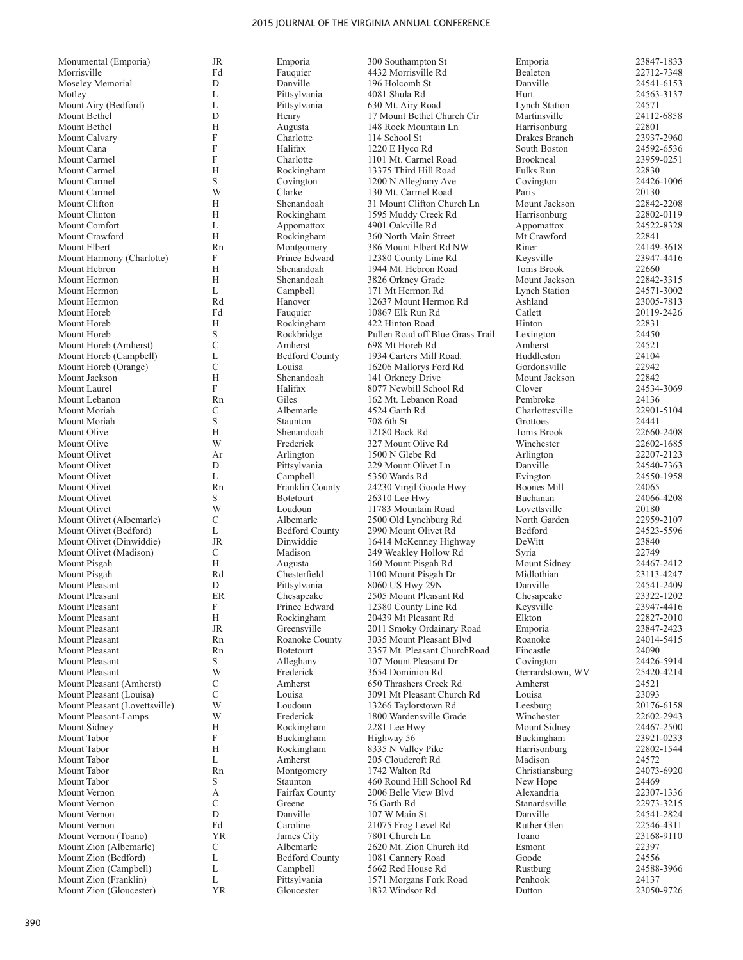| Monumental (Emporia)          | JR            | Emporia               | 300 Southampton St               | Emporia              | 23847-1833 |
|-------------------------------|---------------|-----------------------|----------------------------------|----------------------|------------|
| Morrisville                   | Fd            | Fauquier              | 4432 Morrisville Rd              | Bealeton             | 22712-7348 |
| Moseley Memorial              | D             | Danville              | 196 Holcomb St                   | Danville             | 24541-6153 |
| Motley                        | L             | Pittsylvania          | 4081 Shula Rd                    | Hurt                 | 24563-3137 |
| Mount Airy (Bedford)          | L             | Pittsylvania          | 630 Mt. Airy Road                | <b>Lynch Station</b> | 24571      |
| Mount Bethel                  | D             | Henry                 | 17 Mount Bethel Church Cir       | Martinsville         | 24112-6858 |
| Mount Bethel                  | Н             | Augusta               | 148 Rock Mountain Ln             | Harrisonburg         | 22801      |
| Mount Calvary                 | F             | Charlotte             | 114 School St                    | Drakes Branch        | 23937-2960 |
| Mount Cana                    | F             | Halifax               | $1220 E$ Hyco Rd                 | South Boston         | 24592-6536 |
| Mount Carmel                  | F             | Charlotte             | 1101 Mt. Carmel Road             | Brookneal            | 23959-0251 |
| Mount Carmel                  | Н             | Rockingham            | 13375 Third Hill Road            | Fulks Run            | 22830      |
| Mount Carmel                  | S             | Covington             | 1200 N Alleghany Ave             | Covington            | 24426-1006 |
| Mount Carmel                  | W             | Clarke                | 130 Mt. Carmel Road              | Paris                | 20130      |
| Mount Clifton                 | Н             | Shenandoah            | 31 Mount Clifton Church Ln       | Mount Jackson        | 22842-2208 |
| Mount Clinton                 | Н             | Rockingham            | 1595 Muddy Creek Rd              | Harrisonburg         | 22802-0119 |
| Mount Comfort                 | L             | Appomattox            | 4901 Oakville Rd                 | Appomattox           | 24522-8328 |
|                               | H             |                       |                                  |                      |            |
| Mount Crawford                |               | Rockingham            | 360 North Main Street            | Mt Crawford          | 22841      |
| Mount Elbert                  | Rn            | Montgomery            | 386 Mount Elbert Rd NW           | Riner                | 24149-3618 |
| Mount Harmony (Charlotte)     | F             | Prince Edward         | 12380 County Line Rd             | Keysville            | 23947-4416 |
| Mount Hebron                  | Н             | Shenandoah            | 1944 Mt. Hebron Road             | Toms Brook           | 22660      |
| Mount Hermon                  | Н             | Shenandoah            | 3826 Orkney Grade                | Mount Jackson        | 22842-3315 |
| Mount Hermon                  | L             | Campbell              | 171 Mt Hermon Rd                 | <b>Lynch Station</b> | 24571-3002 |
| Mount Hermon                  | Rd            | Hanover               | 12637 Mount Hermon Rd            | Ashland              | 23005-7813 |
| Mount Horeb                   | Fd            | Fauquier              | 10867 Elk Run Rd                 | Catlett              | 20119-2426 |
| Mount Horeb                   | Н             | Rockingham            | 422 Hinton Road                  | Hinton               | 22831      |
| Mount Horeb                   | S             | Rockbridge            | Pullen Road off Blue Grass Trail | Lexington            | 24450      |
| Mount Horeb (Amherst)         | $\mathcal{C}$ | Amherst               | 698 Mt Horeb Rd                  | Amherst              | 24521      |
| Mount Horeb (Campbell)        | L             | <b>Bedford County</b> | 1934 Carters Mill Road.          | Huddleston           | 24104      |
| Mount Horeb (Orange)          | C             | Louisa                | 16206 Mallorys Ford Rd           | Gordonsville         | 22942      |
| Mount Jackson                 | Н             | Shenandoah            | 141 Orkne; y Drive               | Mount Jackson        | 22842      |
| Mount Laurel                  | F             | Halifax               | 8077 Newbill School Rd           | Clover               | 24534-3069 |
| Mount Lebanon                 | Rn            | Giles                 | 162 Mt. Lebanon Road             | Pembroke             | 24136      |
| Mount Moriah                  | С             | Albemarle             | 4524 Garth Rd                    | Charlottesville      | 22901-5104 |
| Mount Moriah                  | S             | Staunton              | 708 6th St                       | Grottoes             | 24441      |
| Mount Olive                   | Н             | Shenandoah            | 12180 Back Rd                    | Toms Brook           | 22660-2408 |
|                               |               |                       |                                  |                      |            |
| Mount Olive                   | W             | Frederick             | 327 Mount Olive Rd               | Winchester           | 22602-1685 |
| Mount Olivet                  | Ar            | Arlington             | 1500 N Glebe Rd                  | Arlington            | 22207-2123 |
| Mount Olivet                  | D             | Pittsylvania          | 229 Mount Olivet Ln              | Danville             | 24540-7363 |
| Mount Olivet                  | L             | Campbell              | 5350 Wards Rd                    | Evington             | 24550-1958 |
| Mount Olivet                  | Rn            | Franklin County       | 24230 Virgil Goode Hwy           | Boones Mill          | 24065      |
| Mount Olivet                  | S             | <b>Botetourt</b>      | 26310 Lee Hwy                    | Buchanan             | 24066-4208 |
| Mount Olivet                  | W             | Loudoun               | 11783 Mountain Road              | Lovettsville         | 20180      |
| Mount Olivet (Albemarle)      | C             | Albemarle             | 2500 Old Lynchburg Rd            | North Garden         | 22959-2107 |
| Mount Olivet (Bedford)        | L             | <b>Bedford County</b> | 2990 Mount Olivet Rd             | Bedford              | 24523-5596 |
| Mount Olivet (Dinwiddie)      | <b>JR</b>     | Dinwiddie             | 16414 McKenney Highway           | DeWitt               | 23840      |
| Mount Olivet (Madison)        | C             | Madison               | 249 Weakley Hollow Rd            | Syria                | 22749      |
| Mount Pisgah                  | Н             | Augusta               | 160 Mount Pisgah Rd              | Mount Sidney         | 24467-2412 |
| Mount Pisgah                  | Rd            | Chesterfield          | 1100 Mount Pisgah Dr             | Midlothian           | 23113-4247 |
| Mount Pleasant                | D             | Pittsylvania          | 8060 US Hwy 29N                  | Danville             | 24541-2409 |
| Mount Pleasant                | ER            | Chesapeake            | 2505 Mount Pleasant Rd           | Chesapeake           | 23322-1202 |
| Mount Pleasant                | F             | Prince Edward         | 12380 County Line Rd             | Keysville            | 23947-4416 |
| Mount Pleasant                | Н             | Rockingham            | 20439 Mt Pleasant Rd             | Elkton               | 22827-2010 |
| Mount Pleasant                | JR            | Greensville           | 2011 Smoky Ordainary Road        | Emporia              | 23847-2423 |
| Mount Pleasant                | Rn            | Roanoke County        | 3035 Mount Pleasant Blvd         | Roanoke              | 24014-5415 |
| Mount Pleasant                | Rn            | <b>Botetourt</b>      | 2357 Mt. Pleasant ChurchRoad     | Fincastle            | 24090      |
| Mount Pleasant                | S             | Alleghany             | 107 Mount Pleasant Dr            | Covington            | 24426-5914 |
|                               | W             |                       |                                  |                      |            |
| Mount Pleasant                |               | Frederick             | 3654 Dominion Rd                 | Gerrardstown, WV     | 25420-4214 |
| Mount Pleasant (Amherst)      | С             | Amherst               | 650 Thrashers Creek Rd           | Amherst              | 24521      |
| Mount Pleasant (Louisa)       | С             | Louisa                | 3091 Mt Pleasant Church Rd       | Louisa               | 23093      |
| Mount Pleasant (Lovettsville) | W             | Loudoun               | 13266 Taylorstown Rd             | Leesburg             | 20176-6158 |
| Mount Pleasant-Lamps          | W             | Frederick             | 1800 Wardensville Grade          | Winchester           | 22602-2943 |
| Mount Sidney                  | Н             | Rockingham            | 2281 Lee Hwy                     | Mount Sidney         | 24467-2500 |
| Mount Tabor                   | F             | Buckingham            | Highway 56                       | Buckingham           | 23921-0233 |
| Mount Tabor                   | Н             | Rockingham            | 8335 N Valley Pike               | Harrisonburg         | 22802-1544 |
| Mount Tabor                   | L             | Amherst               | 205 Cloudcroft Rd                | Madison              | 24572      |
| Mount Tabor                   | Rn            | Montgomery            | 1742 Walton Rd                   | Christiansburg       | 24073-6920 |
| Mount Tabor                   | S             | Staunton              | 460 Round Hill School Rd         | New Hope             | 24469      |
| Mount Vernon                  | А             | Fairfax County        | 2006 Belle View Blyd             | Alexandria           | 22307-1336 |
| Mount Vernon                  | С             | Greene                | 76 Garth Rd                      | Stanardsville        | 22973-3215 |
| Mount Vernon                  | D             | Danville              | 107 W Main St                    | Danville             | 24541-2824 |
| Mount Vernon                  | Fd            | Caroline              | 21075 Frog Level Rd              | Ruther Glen          | 22546-4311 |
| Mount Vernon (Toano)          | YR            | James City            | 7801 Church Ln                   | Toano                | 23168-9110 |
| Mount Zion (Albemarle)        | C             | Albemarle             | 2620 Mt. Zion Church Rd          | Esmont               | 22397      |
| Mount Zion (Bedford)          | L             | <b>Bedford County</b> | 1081 Cannery Road                | Goode                | 24556      |
| Mount Zion (Campbell)         | L             | Campbell              | 5662 Red House Rd                | Rustburg             | 24588-3966 |
| Mount Zion (Franklin)         | L             | Pittsylvania          | 1571 Morgans Fork Road           | Penhook              | 24137      |
| Mount Zion (Gloucester)       | <b>YR</b>     | Gloucester            | 1832 Windsor Rd                  | Dutton               | 23050-9726 |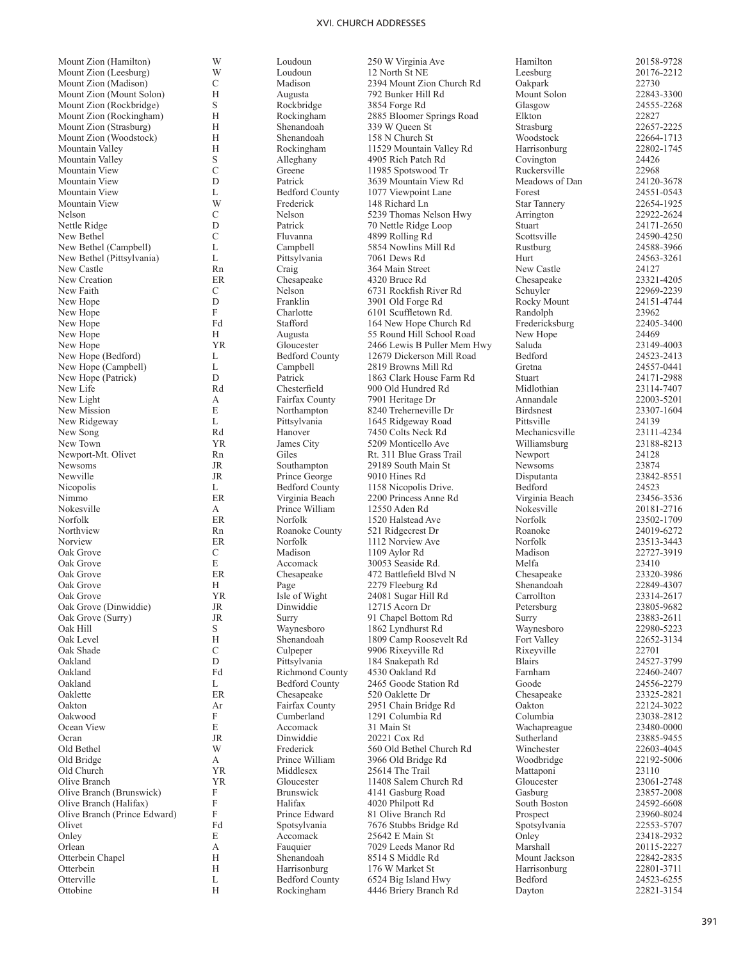Mount Zion (Hamilton) Mount Zion (Leesburg) Mount Zion (Madison) Mount Zion (Mount Solon) Mount Zion (Rockbridge) Mount Zion (Rockingham) Mount Zion (Strasburg) Mount Zion (Woodstock) Mountain Valley Mountain Valley Mountain View Mountain View Mountain View Mountain View Nelson Nettle Ridge New Bethel New Bethel (Campbell) New Bethel (Pittsylvania) New Castle 24127 Rn Craig 364 Main Street New Castle 24127 New Creation ER Chesapeake 4320 Bruce Rd Chesapeake 23321-4205 New Faith New Hope New Hope<br>New Hope New Hope<br>New Hope New Hope (Bedford) New Hope (Campbell) New Hope (Patrick)<br>New Life New Life **Rd** Resterfield 900 Old Hundred Rd Midlothian 23114-7407 New Light New Mission New Ridgeway<br>New Song New Song Rd Hanover 7450 Colts Neck Rd Mechanicsville 23111-4234 New Town YR James City 5209 Monticello Ave Williamsburg 23188-8213 Newport-Mt. Olivet Rn Giles Rt. 311 Blue Grass Trail Newport 24128<br>Newsoms R Southampton 29189 South Main St Newsoms 23874 Newville JR Prince George 9010 Hines Rd Disputanta 23842-8551 Nicopolis Nimmo ER Virginia Beach 2200 Princess Anne Rd Virginia Beach 23456-3536 Nokesville<br>Norfolk Norfolk ER Norfolk 1520 Halstead Ave Norfolk 23502-1709 Northview **Rn** Roanoke County 521 Ridgecrest Dr Roanoke 24019-6272 Norview **ER** Norfolk 1112 Norview Ave Norfolk 23513-3443 Oak Grove Oak Grove<br>Oak Grove Oak Grove<br>Oak Grove Oak Grove (Dinwiddie) JR Dinwiddie 12715 Acorn Dr Petersburg 23805-9682<br>
Oak Grove (Surry) JR Surry 91 Chapel Bottom Rd Surry 23883-2611 Oak Hill Oak Level Oak Shade Oakland<br>Oakland Oakland Fd Richmond County 4530 Oakland Rd Farnham 22460-2407 Oakland<br>Oaklette Oaklette ER Chesapeake 520 Oaklette Dr Chesapeake 23325-2821 Oakton Ar Fairfax County 2951 Chain Bridge Rd Oakton 22124-3022 Oakwood Ocean View Ocran JR Dinwiddie 20221 Cox Rd Sutherland 23885-9455 Old Bethel Old Bridge Old Church YR Middlesex 25614 The Trail Mattaponi 23110 Olive Branch (Brunswick) Mark (Schwarzester 11408 Salem Church Rd Gloucester 23061-2748<br>
Olive Branch (Brunswick) F Brunswick 4141 Gasburg Road Gasburg 23857-2008 Olive Branch (Brunswick) Olive Branch (Halifax) Olive Branch (Prince Edward) Onley Orlean Otterbein Chapel **Otterbein Otterville** Ottobine

W Loudoun 250 W Virginia Ave Hamilton 20158-9728<br>W Loudoun 12 North St NE Leesburg 20176-2212 W Loudoun 12 North St NE Leesburg 20176-2212 C 12730<br>
H Augusta 1992 Bunker Hill Rd Mount Solon 22843-3300 H Augusta 792 Bunker Hill Rd Mount Solon 22843-3300<br>S Rockbridge 3854 Forge Rd Glasgow 24555-2268 S Rockbridge 3854 Forge Rd Glasgow 24555<br>
H Rockingham 2885 Bloomer Springs Road Elkton 22827 H Rockingham 2885 Bloomer Springs Road Elkton 22827 22827<br>
H Shenandoah 339 W Oueen St Strasburg 22657-2225 H Shenandoah 339 W Queen St Strasburg 22657-2225<br>
H Shenandoah 158 N Church St Woodstock 22664-1713 H Shenandoah 158 N Church St Woodstock 22664-1713<br>
H Rockingham 11529 Mountain Valley Rd Harrisonburg 22802-1745 H Rockingham 11529 Mountain Valley Rd Harrisonburg 22802<br>S Alleghany 4905 Rich Patch Rd Covington 24426 S Alleghany 4905 Rich Patch Rd Covington 24426<br>C Greene 11985 Spotswood Tr Ruckersville 22968 C Greene 11985 Spotswood Tr Ruckersville 22968<br>
D Patrick 3639 Mountain View Rd Meadows of Dan 24120-3678 D Patrick 3639 Mountain View Rd Meadows of Dan 24120-3678<br>
L Bedford County 1077 Viewpoint Lane Forest 24551-0543 L Bedford County 1077 Viewpoint Lane Forest 24551-0543<br>W Frederick 148 Richard Ln Star Tannery 22654-1925 W Frederick 148 Richard Ln Star Tannery 22654-1925<br>C Nelson 5239 Thomas Nelson Hwy Arrington 22922-2624 C Nelson 5239 Thomas Nelson Hwy Arrington 22922-2624<br>D Patrick 70 Nettle Ridge Loop Stuart 24171-2650 D Patrick 70 Nettle Ridge Loop Stuart 2011 Stuart 2014 1899 Rolling Rd C Fluvanna 1899 Rolling Rd Scottsville 24590-4250<br>
L Campbell 5854 Nowling Mill Rd Rustburg 24588-3966 L Campbell 5854 Nowlins Mill Rd<br>
24588-3966 L Pittsylvania 7061 Dews Rd Hurt 24563-3261 L Pittsylvania 7061 Dews Rd Hurt 24563<br>
Rn Craig 364 Main Street New Castle 24127 C 1999-2239 Nelson 6731 Rockfish River Rd Schuyler 22969-2239<br>
D Franklin 3901 Old Forge Rd Rocky Mount 24151-4744 D Franklin 3901 Old Forge Rd Rocky Mount 24151-474451<br>F Charlotte 6101 Scuffletown Rd. Randolph 23962 F Charlotte 6101 Scuffletown Rd. Randolph 23962<br>Fredericksburg 22405-3400<br>Tredericksburg 22405-3400 Fd Stafford 164 New Hope Church Rd Fredericksburg 22405<br>
H Augusta 55 Round Hill School Road New Hope 24469 H Augusta 55 Round Hill School Road New Hope 24469<br>
1991 - Cloucester 2466 Lewis B Puller Mem Hwy Saluda 23149-4003 New Coloucester 2466 Lewis B Puller Mem Hwy Saluda 23149-4003<br>
L Bedford County 12679 Dickerson Mill Road Bedford 24523-2413 12679 Dickerson Mill Road L Campbell 2819 Browns Mill Rd Gretna 24557-0441<br>
D Patrick 1863 Clark House Farm Rd Stuart 24171-2988 D Patrick 1863 Clark House Farm Rd Stuart 24171-2988<br>Rd Chesterfield 900 Old Hundred Rd Midlothian 23114-7407 A Fairfax County 7901 Heritage Dr Annandale 22003-5201<br>
E Northampton 8240 Treherneville Dr Birdsnest 23307-1604 Northampton 8240 Treherneville Dr<br>Pittsylvania 1645 Ridgeway Road L Pittsylvania 1645 Ridgeway Road Pittsville 24139<br>
Rd Hanover 7450 Colts Neck Rd Mechanicsville 23111-4234 29189 South Main St L Bedford County 1158 Nicopolis Drive. Bedford 24523<br>ER Virginia Beach 2200 Princess Anne Rd Virginia Beach 23456-3536 A Prince William 12550 Aden Rd<br>
RR Norfolk 1520 Halstead Ave Norfolk 23502-1709 C Madison 1109 Aylor Rd Madison 22727-3919 E Accomack 30053 Seaside Rd. Melfa 23410<br>
ER Chesapeake 472 Battlefield Blvd N Chesapeake 23320-3986 ER Chesapeake 472 Battlefield Blvd N<br>
H Page 2279 Fleeburg Rd Shenandoah 22849-4307 H Page 2279 Fleeburg Rd Shenandoah 22849-4307<br>
1928 - YR Isle of Wight 24081 Sugar Hill Rd Carrollton 23314-2617 Parries and Sugar Hill Rd Carrollton 23314-2617<br>
On Dinwiddie 12715 Acorn Dr 23805-9682 OR Surry 91 Chapel Bottom Rd<br>
Surry 23883-2611<br>
S Waynesboro 1862 Lyndhurst Rd Waynesboro 22980-5223 S Waynesboro 1862 Lyndhurst Rd Waynesboro 22980-5223<br>
H Shenandoah 1809 Camp Roosevelt Rd Fort Valley 22652-3134 H Shenandoah 1809 Camp Roosevelt Rd Fort Valley 22652<br>C Culpener 9906 Rixevville Rd Rixevville 22701 C Culpeper 9906 Rixeyville Rd Rixeyville 22701<br>
D Pittsylvania 184 Snakepath Rd Blairs 24527-3799 D Pittsylvania 184 Snakepath Rd Blairs 24527-3799 L Bedford County 2465 Goode Station Rd Goode 24556-2279<br>ER Chesapeake 520 Oaklette Dr Chesapeake 23325-2821 F Cumberland 1291 Columbia Rd Columbia 23038-2812<br>E Accomack 31 Main St Wachapreague 23480-0000 E Accomack 31 Main St Wachapreague 23480-0000<br>
IR Dinwiddie 20221 Cox Rd Sutherland 23885-9455 W Frederick 560 Old Bethel Church Rd Winchester 22603-4045<br>
A Prince William 3966 Old Bridge Rd Woodbridge 22192-5006 A Prince William 3966 Old Bridge Rd<br>
YR Middlesex 25614 The Trail F Brunswick 4141 Gasburg Road Gasburg 23857-2008<br>F Halifax 4020 Philpott Rd South Boston 24592-6608 F Halifax 4020 Philpott Rd South Boston 24592-6608<br>F Prince Edward 81 Olive Branch Rd Prospect 23960-8024 F Prince Edward 81 Olive Branch Rd Prospect 23960-8024<br>Fd Spotsvlvania 7676 Stubbs Bridge Rd Spotsvlvania 22553-5707 Polivet Fd Spotsylvania  $\frac{7676 \text{ Stubbs Bridge Rd}}{25642 \text{ E Main St}}$  Spotsylvania 22553-5707<br>E Accomack 25642 E Main St Onley 23418-2932 25642 E Main St Onley<br>
7029 Leeds Manor Rd Marshall A Fauquier 7029 Leeds Manor Rd Marshall 20115-2227<br>
H Shenandoah 8514 S Middle Rd Mount Jackson 22842-2835 H Shenandoah 8514 S Middle Rd<br>
H Shenandoah 8514 S Middle Rd<br>
H Harrisonburg 176 W Market St Harrisonburg 22801-3711 H Harrisonburg 176 W Market St Harrisonburg 22801-3711 L Bedford County 6524 Big Island Hwy Bedford 24523-6255<br>
H Rockingham 4446 Briery Branch Rd Dayton 22821-3154 4446 Briery Branch Rd Dayton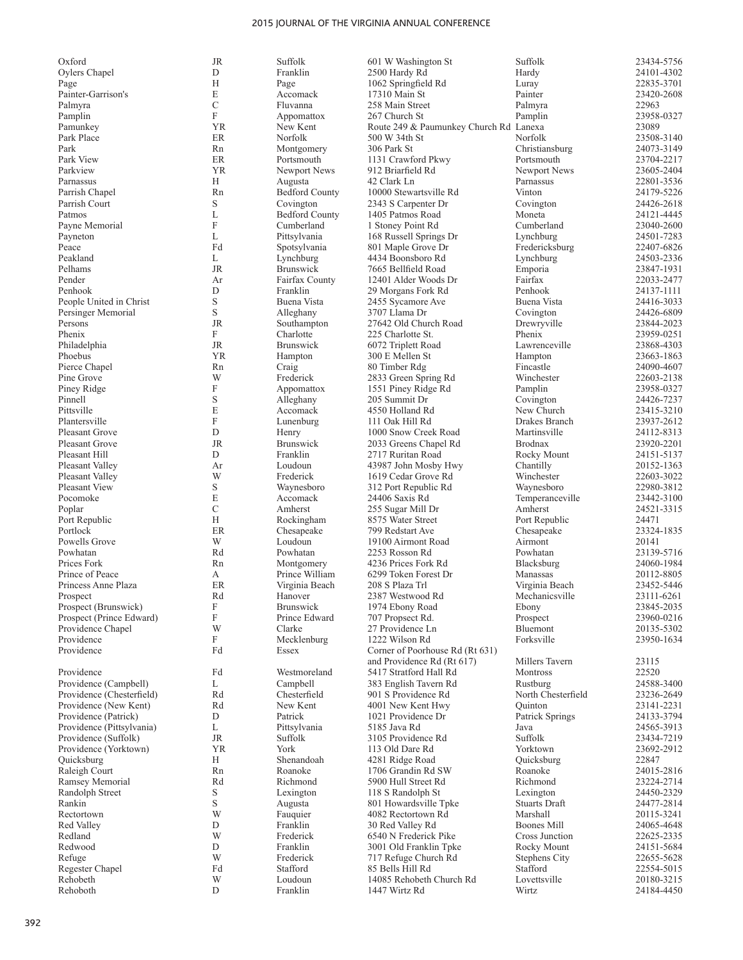| Oxford                    | <b>JR</b>                 | Suffolk               | 601 W Washington St                    | Suffolk              | 23434-5756 |
|---------------------------|---------------------------|-----------------------|----------------------------------------|----------------------|------------|
| Oylers Chapel             | D                         | Franklin              | 2500 Hardy Rd                          | Hardy                | 24101-4302 |
| Page                      | H                         | Page                  | 1062 Springfield Rd                    | Luray                | 22835-3701 |
| Painter-Garrison's        | E                         | Accomack              | 17310 Main St                          | Painter              | 23420-2608 |
| Palmyra                   | $\overline{C}$            | Fluvanna              | 258 Main Street                        | Palmyra              | 22963      |
|                           | F                         |                       |                                        |                      |            |
| Pamplin                   |                           | Appomattox            | 267 Church St                          | Pamplin              | 23958-0327 |
| Pamunkey                  | <b>YR</b>                 | New Kent              | Route 249 & Paumunkey Church Rd Lanexa |                      | 23089      |
| Park Place                | ER                        | Norfolk               | 500 W 34th St                          | Norfolk              | 23508-3140 |
| Park                      | Rn                        | Montgomery            | 306 Park St                            | Christiansburg       | 24073-3149 |
| Park View                 | ER                        | Portsmouth            | 1131 Crawford Pkwy                     | Portsmouth           | 23704-2217 |
| Parkview                  | YR                        | Newport News          | 912 Briarfield Rd                      | Newport News         | 23605-2404 |
|                           |                           |                       |                                        |                      |            |
| Parnassus                 | H                         | Augusta               | 42 Clark Ln                            | Parnassus            | 22801-3536 |
| Parrish Chapel            | Rn                        | <b>Bedford County</b> | 10000 Stewartsville Rd                 | Vinton               | 24179-5226 |
| Parrish Court             | S                         | Covington             | 2343 S Carpenter Dr                    | Covington            | 24426-2618 |
| Patmos                    | L                         | <b>Bedford County</b> | 1405 Patmos Road                       | Moneta               | 24121-4445 |
| Payne Memorial            | $\boldsymbol{\mathrm{F}}$ | Cumberland            | 1 Stoney Point Rd                      | Cumberland           | 23040-2600 |
| Payneton                  | L                         | Pittsylvania          | 168 Russell Springs Dr                 | Lynchburg            | 24501-7283 |
|                           | Fd                        |                       |                                        |                      |            |
| Peace                     |                           | Spotsylvania          | 801 Maple Grove Dr                     | Fredericksburg       | 22407-6826 |
| Peakland                  | L                         | Lynchburg             | 4434 Boonsboro Rd                      | Lynchburg            | 24503-2336 |
| Pelhams                   | $\rm JR$                  | <b>Brunswick</b>      | 7665 Bellfield Road                    | Emporia              | 23847-1931 |
| Pender                    | Ar                        | Fairfax County        | 12401 Alder Woods Dr                   | Fairfax              | 22033-2477 |
| Penhook                   | D                         | Franklin              | 29 Morgans Fork Rd                     | Penhook              | 24137-1111 |
| People United in Christ   | S                         | Buena Vista           | 2455 Sycamore Ave                      | Buena Vista          | 24416-3033 |
|                           |                           |                       |                                        |                      |            |
| Persinger Memorial        | S                         | Alleghany             | 3707 Llama Dr                          | Covington            | 24426-6809 |
| Persons                   | <b>JR</b>                 | Southampton           | 27642 Old Church Road                  | Drewryville          | 23844-2023 |
| Phenix                    | F                         | Charlotte             | 225 Charlotte St.                      | Phenix               | 23959-0251 |
| Philadelphia              | JR                        | <b>Brunswick</b>      | 6072 Triplett Road                     | Lawrenceville        | 23868-4303 |
| Phoebus                   | YR                        | Hampton               | 300 E Mellen St                        | Hampton              | 23663-1863 |
| Pierce Chapel             | Rn                        | Craig                 | 80 Timber Rdg                          | Fincastle            | 24090-4607 |
|                           |                           |                       |                                        |                      |            |
| Pine Grove                | W                         | Frederick             | 2833 Green Spring Rd                   | Winchester           | 22603-2138 |
| Piney Ridge               | $\boldsymbol{\mathrm{F}}$ | Appomattox            | 1551 Piney Ridge Rd                    | Pamplin              | 23958-0327 |
| Pinnell                   | S                         | Alleghany             | 205 Summit Dr                          | Covington            | 24426-7237 |
| Pittsville                | E                         | Accomack              | 4550 Holland Rd                        | New Church           | 23415-3210 |
| Plantersville             | F                         | Lunenburg             | 111 Oak Hill Rd                        | Drakes Branch        | 23937-2612 |
| <b>Pleasant Grove</b>     | D                         | Henry                 | 1000 Snow Creek Road                   | Martinsville         | 24112-8313 |
|                           |                           |                       |                                        |                      |            |
| <b>Pleasant Grove</b>     | $\rm JR$                  | <b>Brunswick</b>      | 2033 Greens Chapel Rd                  | <b>Brodnax</b>       | 23920-2201 |
| Pleasant Hill             | D                         | Franklin              | 2717 Ruritan Road                      | Rocky Mount          | 24151-5137 |
| Pleasant Valley           | Ar                        | Loudoun               | 43987 John Mosby Hwy                   | Chantilly            | 20152-1363 |
| Pleasant Valley           | W                         | Frederick             | 1619 Cedar Grove Rd                    | Winchester           | 22603-3022 |
| <b>Pleasant View</b>      | S.                        | Waynesboro            | 312 Port Republic Rd                   | Waynesboro           | 22980-3812 |
| Pocomoke                  | E                         | Accomack              |                                        |                      | 23442-3100 |
|                           |                           |                       | 24406 Saxis Rd                         | Temperanceville      |            |
| Poplar                    | C                         | Amherst               | 255 Sugar Mill Dr                      | Amherst              | 24521-3315 |
| Port Republic             | H                         | Rockingham            | 8575 Water Street                      | Port Republic        | 24471      |
| Portlock                  | ER                        | Chesapeake            | 799 Redstart Ave                       | Chesapeake           | 23324-1835 |
| Powells Grove             | W                         | Loudoun               | 19100 Airmont Road                     | Airmont              | 20141      |
| Powhatan                  | Rd                        | Powhatan              | 2253 Rosson Rd                         | Powhatan             | 23139-5716 |
| Prices Fork               |                           |                       |                                        |                      |            |
|                           | Rn                        | Montgomery            | 4236 Prices Fork Rd                    | Blacksburg           | 24060-1984 |
| Prince of Peace           | А                         | Prince William        | 6299 Token Forest Dr                   | Manassas             | 20112-8805 |
| Princess Anne Plaza       | ER                        | Virginia Beach        | 208 S Plaza Trl                        | Virginia Beach       | 23452-5446 |
| Prospect                  | Rd                        | Hanover               | 2387 Westwood Rd                       | Mechanicsville       | 23111-6261 |
| Prospect (Brunswick)      | $\boldsymbol{\mathrm{F}}$ | Brunswick             | 1974 Ebony Road                        | Ebony                | 23845-2035 |
| Prospect (Prince Edward)  | $\boldsymbol{\mathrm{F}}$ | Prince Edward         | 707 Propsect Rd.                       | Prospect             | 23960-0216 |
| Providence Chapel         | W                         |                       | 27 Providence Ln                       | Bluemont             |            |
|                           |                           | Clarke                |                                        |                      | 20135-5302 |
| Providence                | F                         | Mecklenburg           | 1222 Wilson Rd                         | Forksville           | 23950-1634 |
| Providence                | Fd                        | Essex                 | Corner of Poorhouse Rd (Rt 631)        |                      |            |
|                           |                           |                       | and Providence Rd (Rt 617)             | Millers Tavern       | 23115      |
| Providence                | Fd                        | Westmoreland          | 5417 Stratford Hall Rd                 | Montross             | 22520      |
| Providence (Campbell)     | L                         | Campbell              | 383 English Tavern Rd                  | Rustburg             | 24588-3400 |
|                           | Rd                        | Chesterfield          |                                        | North Chesterfield   | 23236-2649 |
| Providence (Chesterfield) |                           |                       | 901 S Providence Rd                    |                      |            |
| Providence (New Kent)     | Rd                        | New Kent              | 4001 New Kent Hwy                      | Quinton              | 23141-2231 |
| Providence (Patrick)      | D                         | Patrick               | 1021 Providence Dr                     | Patrick Springs      | 24133-3794 |
| Providence (Pittsylvania) | L                         | Pittsylvania          | 5185 Java Rd                           | Java                 | 24565-3913 |
| Providence (Suffolk)      | JR                        | Suffolk               | 3105 Providence Rd                     | Suffolk              | 23434-7219 |
| Providence (Yorktown)     | YR                        | York                  | 113 Old Dare Rd                        | Yorktown             | 23692-2912 |
| Quicksburg                | Н                         | Shenandoah            | 4281 Ridge Road                        | Quicksburg           | 22847      |
|                           |                           |                       |                                        |                      |            |
| Raleigh Court             | Rn                        | Roanoke               | 1706 Grandin Rd SW                     | Roanoke              | 24015-2816 |
| Ramsey Memorial           | Rd                        | Richmond              | 5900 Hull Street Rd                    | Richmond             | 23224-2714 |
| Randolph Street           | S                         | Lexington             | 118 S Randolph St                      | Lexington            | 24450-2329 |
| Rankin                    | S                         | Augusta               | 801 Howardsville Tpke                  | <b>Stuarts Draft</b> | 24477-2814 |
| Rectortown                | W                         | Fauquier              | 4082 Rectortown Rd                     | Marshall             | 20115-3241 |
| Red Valley                | D                         | Franklin              | 30 Red Valley Rd                       | Boones Mill          | 24065-4648 |
| Redland                   | W                         | Frederick             |                                        | Cross Junction       | 22625-2335 |
|                           |                           |                       | 6540 N Frederick Pike                  |                      |            |
| Redwood                   | D                         | Franklin              | 3001 Old Franklin Tpke                 | Rocky Mount          | 24151-5684 |
| Refuge                    | W                         | Frederick             | 717 Refuge Church Rd                   | <b>Stephens City</b> | 22655-5628 |
| Regester Chapel           | Fd                        | Stafford              | 85 Bells Hill Rd                       | Stafford             | 22554-5015 |
| Rehobeth                  | W                         | Loudoun               | 14085 Rehobeth Church Rd               | Lovettsville         | 20180-3215 |
| Rehoboth                  | D                         | Franklin              | 1447 Wirtz Rd                          | Wirtz                | 24184-4450 |
|                           |                           |                       |                                        |                      |            |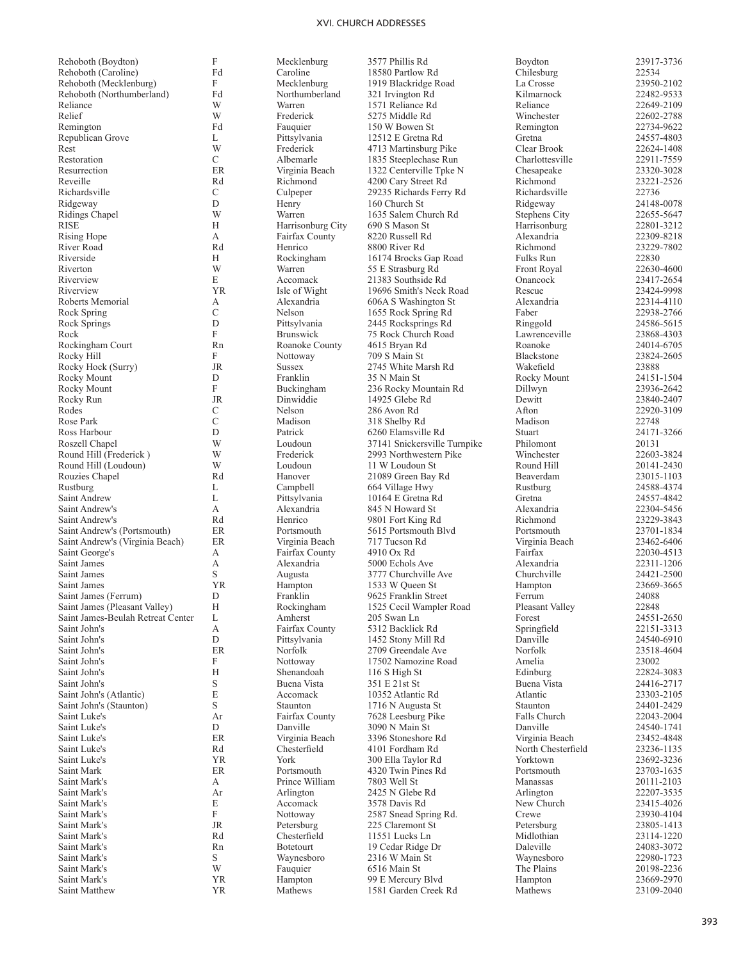| Rehoboth (Boydton)                                                 | F                         | Mecklenburg                  | 3577 Phillis Rd                           | Boydton                              | 23917-3736               |
|--------------------------------------------------------------------|---------------------------|------------------------------|-------------------------------------------|--------------------------------------|--------------------------|
| Rehoboth (Caroline)                                                | Fd                        | Caroline                     | 18580 Partlow Rd                          | Chilesburg                           | 22534                    |
| Rehoboth (Mecklenburg)                                             | F                         | Mecklenburg                  | 1919 Blackridge Road                      | La Crosse                            | 23950-2102               |
| Rehoboth (Northumberland)                                          | Fd                        | Northumberland               | 321 Irvington Rd                          | Kilmarnock                           | 22482-9533               |
| Reliance                                                           | W                         | Warren                       | 1571 Reliance Rd                          | Reliance                             | 22649-2109               |
| Relief                                                             | W                         | Frederick                    | 5275 Middle Rd                            | Winchester                           | 22602-2788               |
| Remington                                                          | Fd                        | Fauquier                     | 150 W Bowen St                            | Remington                            | 22734-9622               |
| Republican Grove                                                   | L                         | Pittsylvania                 | 12512 E Gretna Rd                         | Gretna                               | 24557-4803               |
| Rest                                                               | W                         | Frederick                    | 4713 Martinsburg Pike                     | Clear Brook                          | 22624-1408               |
| Restoration                                                        | $\mathbf C$               | Albemarle                    | 1835 Steeplechase Run                     | Charlottesville                      | 22911-7559               |
| Resurrection                                                       | ER                        | Virginia Beach               | 1322 Centerville Tpke N                   | Chesapeake                           | 23320-3028               |
| Reveille                                                           | Rd                        | Richmond                     | 4200 Cary Street Rd                       | Richmond                             | 23221-2526               |
| Richardsville                                                      | $\mathcal{C}$             | Culpeper                     | 29235 Richards Ferry Rd                   | Richardsville                        | 22736                    |
| Ridgeway                                                           | D                         | Henry                        | 160 Church St                             | Ridgeway                             | 24148-0078               |
| Ridings Chapel                                                     | W                         | Warren                       | 1635 Salem Church Rd                      | Stephens City                        | 22655-5647               |
| RISE                                                               | Н                         | Harrisonburg City            | 690 S Mason St                            | Harrisonburg                         | 22801-3212               |
| Rising Hope                                                        | А                         | Fairfax County               | 8220 Russell Rd                           | Alexandria                           | 22309-8218               |
| River Road                                                         | Rd                        | Henrico                      | 8800 River Rd                             | Richmond                             | 23229-7802               |
| Riverside                                                          | Н                         | Rockingham                   | 16174 Brocks Gap Road                     | Fulks Run                            | 22830                    |
| Riverton                                                           | W                         | Warren                       | 55 E Strasburg Rd                         | Front Royal                          | 22630-4600               |
| Riverview                                                          | E                         | Accomack                     | 21383 Southside Rd                        | Onancock                             | 23417-2654               |
| Riverview                                                          | <b>YR</b>                 | Isle of Wight                | 19696 Smith's Neck Road                   | Rescue                               | 23424-9998               |
| Roberts Memorial                                                   | А                         | Alexandria                   | 606A S Washington St                      | Alexandria                           | 22314-4110               |
| Rock Spring                                                        | $\mathcal{C}$             | Nelson                       | 1655 Rock Spring Rd                       | Faber                                | 22938-2766               |
| Rock Springs                                                       | D                         | Pittsylvania                 | 2445 Rocksprings Rd                       | Ringgold                             | 24586-5615               |
| Rock                                                               | ${\bf F}$                 | <b>Brunswick</b>             | 75 Rock Church Road                       | Lawrenceville                        | 23868-4303               |
| Rockingham Court                                                   | Rn                        | Roanoke County               | 4615 Bryan Rd                             | Roanoke                              | 24014-6705               |
| Rocky Hill                                                         | F                         | Nottoway                     | 709 S Main St                             | Blackstone                           | 23824-2605               |
| Rocky Hock (Surry)                                                 | JR                        | <b>Sussex</b>                | 2745 White Marsh Rd                       | Wakefield                            | 23888                    |
| Rocky Mount                                                        | D                         | Franklin                     | 35 N Main St                              | Rocky Mount                          | 24151-1504               |
| Rocky Mount                                                        | F                         | Buckingham                   | 236 Rocky Mountain Rd                     | Dillwyn                              | 23936-2642               |
| Rocky Run                                                          | <b>JR</b>                 | Dinwiddie                    | 14925 Glebe Rd                            | Dewitt                               | 23840-2407               |
| Rodes                                                              | C<br>$\mathcal{C}$        | Nelson                       | 286 Avon Rd                               | Afton                                | 22920-3109               |
| Rose Park                                                          | D                         | Madison                      | 318 Shelby Rd                             | Madison                              | 22748                    |
| Ross Harbour                                                       | W                         | Patrick                      | 6260 Elamsville Rd                        | Stuart                               | 24171-3266               |
| Roszell Chapel                                                     |                           | Loudoun                      | 37141 Snickersville Turnpike              | Philomont                            | 20131                    |
| Round Hill (Frederick)                                             | W                         | Frederick                    | 2993 Northwestern Pike                    | Winchester                           | 22603-3824               |
| Round Hill (Loudoun)                                               | W                         | Loudoun                      | 11 W Loudoun St                           | Round Hill                           | 20141-2430               |
| Rouzies Chapel                                                     | Rd                        | Hanover                      | 21089 Green Bay Rd                        | Beaverdam                            | 23015-1103               |
| Rustburg                                                           | L                         | Campbell                     | 664 Village Hwy                           | Rustburg                             | 24588-4374               |
| Saint Andrew                                                       | L                         | Pittsylvania                 | 10164 E Gretna Rd                         | Gretna                               | 24557-4842               |
| Saint Andrew's                                                     | А                         | Alexandria                   | 845 N Howard St                           | Alexandria                           | 22304-5456               |
| Saint Andrew's                                                     | Rd                        | Henrico                      | 9801 Fort King Rd                         | Richmond                             | 23229-3843               |
| Saint Andrew's (Portsmouth)                                        | ER                        | Portsmouth                   | 5615 Portsmouth Blvd                      | Portsmouth                           | 23701-1834               |
| Saint Andrew's (Virginia Beach)                                    | ER                        | Virginia Beach               | 717 Tucson Rd                             | Virginia Beach                       | 23462-6406               |
| Saint George's                                                     | А                         | Fairfax County               | 4910 Ox Rd                                | Fairfax                              | 22030-4513               |
| Saint James                                                        | А<br>S                    | Alexandria                   | 5000 Echols Ave                           | Alexandria                           | 22311-1206               |
| Saint James                                                        |                           | Augusta                      | 3777 Churchville Ave                      | Churchville                          | 24421-2500               |
| Saint James                                                        | <b>YR</b><br>D            | Hampton                      | 1533 W Queen St                           | Hampton                              | 23669-3665               |
| Saint James (Ferrum)                                               |                           | Franklin<br>Rockingham       | 9625 Franklin Street                      | Ferrum                               | 24088                    |
| Saint James (Pleasant Valley)<br>Saint James-Beulah Retreat Center | Н                         | Amherst                      | 1525 Cecil Wampler Road<br>205 Swan Ln    | Pleasant Valley                      | 22848                    |
| Saint John's                                                       | L<br>А                    | Fairfax County               | 5312 Backlick Rd                          | Forest<br>Springfield                | 24551-2650<br>22151-3313 |
| Saint John's                                                       | D                         | Pittsylvania                 | 1452 Stony Mill Rd                        | Danville                             | 24540-6910               |
| Saint John's                                                       | ER                        | Norfolk                      | 2709 Greendale Ave                        | Norfolk                              | 23518-4604               |
| Saint John's                                                       | F                         | Nottoway                     | 17502 Namozine Road                       | Amelia                               | 23002                    |
| Saint John's                                                       | Н                         | Shenandoah                   | 116 S High St                             | Edinburg                             | 22824-3083               |
| Saint John's                                                       | $\mathbf S$               | Buena Vista                  | 351 E 21st St                             | Buena Vista                          | 24416-2717               |
| Saint John's (Atlantic)                                            | E                         | Accomack                     | 10352 Atlantic Rd                         | Atlantic                             | 23303-2105               |
|                                                                    | $\mathbf S$               | Staunton                     |                                           | Staunton                             | 24401-2429               |
| Saint John's (Staunton)                                            |                           | Fairfax County               | 1716 N Augusta St<br>7628 Leesburg Pike   | <b>Falls Church</b>                  | 22043-2004               |
| Saint Luke's                                                       | Ar<br>D                   | Danville                     |                                           | Danville                             |                          |
| Saint Luke's                                                       | ER                        | Virginia Beach               | 3090 N Main St<br>3396 Stoneshore Rd      |                                      | 24540-1741<br>23452-4848 |
| Saint Luke's                                                       | Rd                        | Chesterfield                 | 4101 Fordham Rd                           | Virginia Beach<br>North Chesterfield |                          |
| Saint Luke's                                                       | <b>YR</b>                 | York                         |                                           | Yorktown                             | 23236-1135               |
| Saint Luke's                                                       |                           |                              | 300 Ella Taylor Rd                        |                                      | 23692-3236               |
| Saint Mark<br>Saint Mark's                                         | ER<br>А                   | Portsmouth<br>Prince William | 4320 Twin Pines Rd<br>7803 Well St        | Portsmouth<br>Manassas               | 23703-1635               |
|                                                                    | Ar                        |                              |                                           |                                      | 20111-2103               |
| Saint Mark's<br>Saint Mark's                                       | E                         | Arlington<br>Accomack        | 2425 N Glebe Rd                           | Arlington<br>New Church              | 22207-3535<br>23415-4026 |
|                                                                    | $\boldsymbol{\mathrm{F}}$ |                              | 3578 Davis Rd                             | Crewe                                |                          |
| Saint Mark's<br>Saint Mark's                                       | <b>JR</b>                 | Nottoway                     | 2587 Snead Spring Rd.<br>225 Claremont St |                                      | 23930-4104               |
|                                                                    | Rd                        | Petersburg<br>Chesterfield   |                                           | Petersburg<br>Midlothian             | 23805-1413               |
| Saint Mark's<br>Saint Mark's                                       | Rn                        | Botetourt                    | 11551 Lucks Ln                            | Daleville                            | 23114-1220<br>24083-3072 |
| Saint Mark's                                                       | S                         | Waynesboro                   | 19 Cedar Ridge Dr                         |                                      | 22980-1723               |
| Saint Mark's                                                       | W                         | Fauquier                     | 2316 W Main St<br>6516 Main St            | Waynesboro<br>The Plains             | 20198-2236               |
|                                                                    | <b>YR</b>                 |                              |                                           |                                      |                          |
| Saint Mark's                                                       |                           | Hampton                      | 99 E Mercury Blvd                         | Hampton                              | 23669-2970               |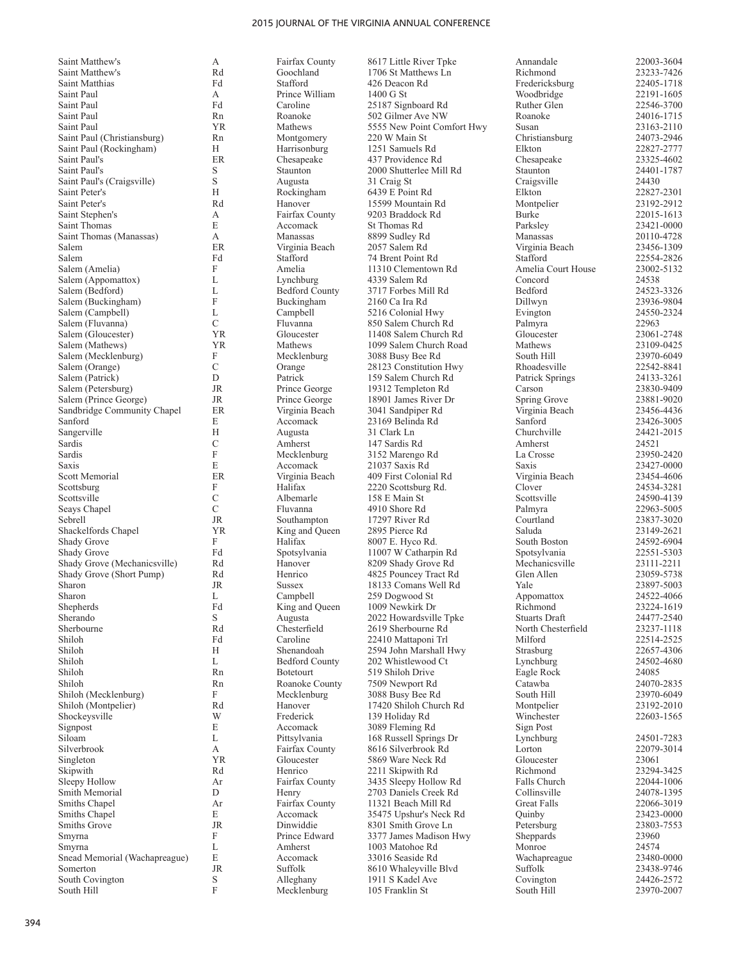Saint Matthew's<br>Saint Matthew's Saint Matthew's 
Saint Matthew's 
Rd Goochland
I 706 St Matthews Ln
Baint Matthias

Rachus Carl Stafford

Rachus Carl Stafford

Rachus Carl Stafford

Rachus Carl Stafford

Rachus Carl Stafford

Rachus Carl Stafford

Ra Saint Matthias Fd Stafford 426 Deacon Rd Fredericksburg 22405-1718 Saint Paul<br>Saint Paul Saint Paul Fd Caroline 25187 Signboard Rd Ruther Glen 22546-3700<br>
Saint Paul Rn Roanoke 502 Gilmer Ave NW Roanoke 24016-1715 Saint Paul 1983 (Saint Paul 1994)<br>
Saint Paul (Christiansburg) 1991 Nontgomery 2008 Main St 2008 (Susan 23163-2110<br>
220 W Main St 20073-2946 Saint Paul (Christiansburg) Rn Montgomery 220 W Main St Christiansburg 24073-2946<br>
Saint Paul (Rockingham) H Harrisonburg 1251 Samuels Rd Elkton 22827-2777 Saint Paul (Rockingham)<br>Saint Paul's Saint Paul's Saint Paul's (Craigsville) Saint Peter's Saint Peter's 23192-2912 Rd Hanover 15599 Mountain Rd Montpelier 23192-2912 Saint Stephen's Saint Thomas Saint Thomas (Manassas) Salem ER Virginia Beach 2057 Salem Rd Virginia Beach 23456-1309 Salem Fd Stafford 74 Brent Point Rd Stafford 22554-2826 Salem (Amelia) Salem (Appomattox) Salem (Bedford) Salem (Buckingham) Salem (Campbell) Salem (Fluvanna)<br>Salem (Gloucester) Salem (Gloucester) 11408 Salem Church Rd<br>Salem (Mathews) 1999 Salem Church Road Mathews 23109-0425 Salem (Mecklenburg) Salem (Orange) Salem (Patrick)<br>Salem (Petersburg) Salem (Prince George) JR Prince George 18901 James River Dr Spring Grove 23881-9020<br>Sandbridge Community Chanel ER Virginia Beach 3041 Sandpiner Rd Virginia Beach 23456-4436 Sandbridge Community Chapel ER Virginia Beach 3041 Sandpiper Rd Virginia Beach 23456-4436<br>Sanford E Accomack 23169 Belinda Rd Sanford 23426-3005 Sanford Sangerville Sardis Sardis Saxis<br>Scott Memorial Scottsburg **Scottsville** Seays Chapel Sebrell JR Southampton 17297 River Rd Courtland 23837-3020 Shackelfords Chapel **1986** Shackelfords Chapel **1986** Shackelfords Chapel **1986** Shady Grove **1986** Shady Grove **1986** Shady Grove **1986** Shady Grove **1986** Shady Grove **1986** South Boston **1986** 24592-6904 Shady Grove<br>Shady Grove Shady Grove (Mechanicsville) Rd Hanover 8209 Shady Grove Rd Mechanicsville 23111-2211<br>Shady Grove (Short Pump) Rd Henrico 4825 Pouncey Tract Rd Glen Allen 23059-5738 Shady Grove (Short Pump) Rd Henrico 4825 Pouncey Tract Rd Glen Allen 23059-5738<br>Sharon JR Sussex 18133 Comans Well Rd Yale 23897-5003 Sharon<br>Shepherds Shepherds Fd King and Queen 1009 Newkirk Dr Richmond 23224-1619 Sherando<br>Sherbourne Sherbourne Rd Chesterfield 2619 Sherbourne Rd North Chesterfield 23237-1118 Shiloh Shiloh Shiloh Rn Botetourt 519 Shiloh Drive Eagle Rock 24085 Shiloh Rn Roanoke County 7509 Newport Rd Catawba 24070-2835 Shiloh (Mecklenburg) Shockeysville Signpost Siloam Silverbrook Singleton YR Gloucester 5869 Ware Neck Rd Gloucester 23061 Skipwith Rd Henrico 2211 Skipwith Rd Richmond 23294-3425 Sleepy Hollow Ar Fairfax County 3435 Sleepy Hollow Rd Falls Church 22044-1006 Smith Memorial<br>Smiths Chapel Smiths Chapel<br>Smiths Grove Smyrna Smyrna Snead Memorial (Wachapreague) South Covington South Hill

Lynchburg 4339 Salem Rd<br>Bedford County 3717 Forbes Mi

A Fairfax County 8617 Little River Tpke Annandale 22003-3604<br>Rd Goochland 1706 St Matthews I.n Richmond 23233-7426 A Prince William 1400 G St Woodbridge 22191-1605 Rn Roanoke 502 Gilmer Ave NW Roanoke 24016-1715<br>Saint Paul Roanoke 24016-1715<br>Sisan 23163-2110 H Harrisonburg 1251 Samuels Rd Elkton 22827-2777<br>ER Chesapeake 437 Providence Rd Chesapeake 23325-4602 ER Chesapeake 437 Providence Rd Chesapeake 23325-4602<br>Staunton 2000 Shutterlee Mill Rd Staunton 24401-1787 S Staunton 2000 Shutterlee Mill Rd<br>S Augusta 31 Craig St S Augusta 31 Craig St Craig sville 24430 H Rockingham 6439 E Point Rd Elkton Elkton 22827-2301<br>
Rd Hanover 15599 Mountain Rd Montpelier 23192-2912 A Fairfax County 9203 Braddock Rd Burke 22015-1613<br>E Accomack St Thomas Rd Parksley 23421-0000 E Accomack St Thomas Rd Parksley 23421-0000 A 120110-4728 Manassas 8899 Sudley Rd<br>
ER 12057 Salem Rd 12057 Summar 20057 Salem Rd 121456-1309 F Amelia 11310 Clementown Rd Amelia Court House 23002-5132<br>L I vnchburg 4339 Salem Rd Concord 24538 L Bedford County 3717 Forbes Mill Rd Bedford 24523-3326<br>
F Buckingham 2160 Ca Ira Rd Dillwyn 23936-9804 F Buckingham 2160 Ca Ira Rd Dillwyn 23936-9804<br>
L Campbell 5216 Colonial Hwy Evington 24550-2324 L Campbell 5216 Colonial Hwy Evington 24550<br>C Fluvanna 850 Salem Church Rd Palmyra 22963 C Fluvanna 850 Salem Church Rd Palmyra 22963<br>11408 Salem Church Rd Gloucester 23061-2748 Salem Church Road Mathews 23109-0425<br>
South Hill 23970-6049<br>
South Hill 23970-6049 F Mecklenburg 3088 Busy Bee Rd South Hill 23970-6049<br>C Orange 28123 Constitution Hwy Rhoadesville 22542-8841 C Orange 28123 Constitution Hwy Rhoadesville 22542-8841<br>D Patrick 159 Salem Church Rd Patrick Springs 24133-3261 D Patrick 159 Salem Church Rd Patrick Springs 24133-3261<br>
R Prince George 19312 Templeton Rd Carson 23830-9409 Salem (Petersburg) JR Prince George 19312 Templeton Rd Carson 23830-9409<br>
Spring Grove 23881-9020<br>
Spring Grove 23881-9020 E Accomack 23169 Belinda Rd Sanford 23426-3005<br>
H Augusta 31 Clark Ln Churchville 24421-2015 H Augusta 31 Clark Ln Churchville 24421-2015 C Amherst 147 Sardis Rd Amherst 24521 F Mecklenburg 3152 Marengo Rd<br>
E Accomack 21037 Saxis Rd Saxis 23427-0000 E Accomack 21037 Saxis Rd Saxis 23427-0000<br>ER Virginia Beach 409 First Colonial Rd Virginia Beach 23454-4606 ER Virginia Beach 409 First Colonial Rd<br>
F Halifax 2220 Scottsburg Rd. Clover 24534-3281 F 19 Halifax 2220 Scottsburg Rd. Clover 24534-3281<br>C 24590-4139 158 E Main St 201500-4139 C Albemarle 158 E Main St Scottsville 24590-4139<br>C Fluvanna 4910 Shore Rd Palmyra 22963-5005 C Fluvanna 4910 Shore Rd<br>
IR Southampton 17297 River Rd Courtland 23837-3020 F 1992-6904<br>France Halifax 8007 E. Hyco Rd. South Boston 24592-6904<br>France Spotsylvania 22551-5303 Fd Spotsylvania 11007 W Catharpin Rd Spotsylvania 22551-5303<br>Rd Hanover 8209 Shady Grove Rd Mechanicsville 23111-2211 Sussex 18133 Comans Well Rd Yale 23897-5003<br>
L Campbell 259 Dogwood St Appomattox 24522-4066 L Campbell 259 Dogwood St Appomattox 24522-4066<br>
Fd King and Queen 1009 Newkirk Dr Richmond 23224-1619 S Augusta 2022 Howardsville Tpke Stuarts Draft 24477-2540<br>Rd Chesterfield 2619 Sherbourne Rd North Chesterfield 23237-1118 Fd Caroline 22410 Mattaponi Trl Milford 22514-2525<br>
H Shenandoah 2594 John Marshall Hwy Strasburg 22657-4306 Shenandoah 2594 John Marshall Hwy Strasburg 22657-4306<br>
Bedford County 202 Whistlewood Ct 2010 Lynchburg 24502-4680 L Bedford County 202 Whistlewood Ct Lynchburg 24502<br>
Rn Botetourt 519 Shiloh Drive Eagle Rock 24085 F Mecklenburg 3088 Busy Bee Rd South Hill 23970-6049<br>Rd Hanover 17420 Shiloh Church Rd Montnelier 23192-2010 Rd Hanover 17420 Shiloh Church Rd<br>W Frederick 139 Holiday Rd W Frederick 139 Holiday Rd Winchester 22603-1565<br>E Accomack 3089 Fleming Rd Sign Post E Accomack 3089 Fleming Rd Sign Post<br>
L Pittsvlvania 168 Russell Springs Dr I vnchburg L Pittsylvania 168 Russell Springs Dr Lynchburg 24501-7283 A Fairfax County 8616 Silverbrook Rd Lorton 22079<br>
The Cloucester 5869 Ware Neck Rd Gloucester 23061 Henry 2703 Daniels Creek Rd Collinsville 24078-1395<br>
Fairfax County 11321 Beach Mill Rd Great Falls 22066-3019 Ar Fairfax County 11321 Beach Mill Rd Great Falls 22066-3019<br>E Accomack 35475 Upshur's Neck Rd Ouinby 23423-0000 E Accomack 35475 Upshur's Neck Rd Quinby 23423-0000<br>
JR Dinwiddie 8301 Smith Grove Ln Petersburg 23803-7553 Smith Grove Ln<br>
Smith Grove Ln<br>
Prince Edward 2377 James Madison Hwy Sheppards 23960 F Prince Edward 3377 James Madison Hwy Sheppards 23960<br>
L Amherst 1003 Matohoe Rd Monroe 24574 L 1003 Matohoe Rd Monroe 24574<br>E Accomack 33016 Seaside Rd Wachapreague 23480-0000 E Accomack 33016 Seaside Rd Wachapreague 23480-0000<br>
IR Suffolk 8610 Whalevyille Blvd Suffolk 23438-9746 Somether Alleghany 1911 State and Suffolk Suffolk 23438-9746<br>
S Alleghany 1911 Skadel Ave Covington 24426-2572 S Alleghany 1911 S Kadel Ave Covington 24426-2572<br>F Mecklenburg 105 Franklin St South Hill 23970-2007

F Mecklenburg 105 Franklin St South Hill 23970-2007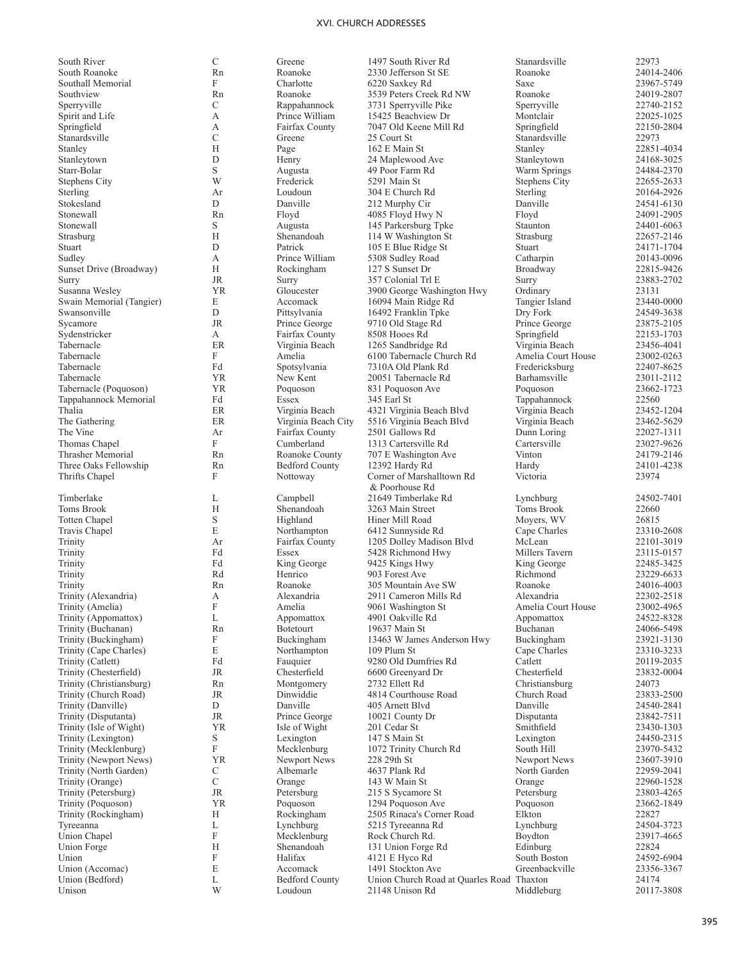| South River              | C           | Greene                 | 1497 South River Rd                       | Stanardsville      | 22973      |
|--------------------------|-------------|------------------------|-------------------------------------------|--------------------|------------|
| South Roanoke            | Rn          | Roanoke                | 2330 Jefferson St SE                      | Roanoke            | 24014-2406 |
| Southall Memorial        | F           | Charlotte              | 6220 Saxkey Rd                            | Saxe               | 23967-5749 |
| Southview                | Rn          | Roanoke                | 3539 Peters Creek Rd NW                   | Roanoke            | 24019-2807 |
| Sperryville              | C           | Rappahannock           | 3731 Sperryville Pike                     | Sperryville        | 22740-2152 |
| Spirit and Life          | А           | Prince William         | 15425 Beachview Dr                        | Montclair          | 22025-1025 |
| Springfield              | А           | Fairfax County         | 7047 Old Keene Mill Rd                    | Springfield        | 22150-2804 |
| Stanardsville            | C           | Greene                 | 25 Court St                               | Stanardsville      | 22973      |
| Stanley                  | H           | Page                   | 162 E Main St                             | Stanley            | 22851-4034 |
| Stanleytown              | D           | Henry                  | 24 Maplewood Ave                          | Stanleytown        | 24168-3025 |
| Starr-Bolar              | $\mathbf S$ | Augusta                | 49 Poor Farm Rd                           | Warm Springs       | 24484-2370 |
| Stephens City            | W           | Frederick              | 5291 Main St                              | Stephens City      | 22655-2633 |
| Sterling                 | Ar          | Loudoun                | 304 E Church Rd                           | Sterling           | 20164-2926 |
| Stokesland               | D           | Danville               | 212 Murphy Cir                            | Danville           | 24541-6130 |
| Stonewall                | Rn          | Floyd                  | 4085 Floyd Hwy N                          | Floyd              | 24091-2905 |
| Stonewall                | S           |                        |                                           | Staunton           | 24401-6063 |
|                          | H           | Augusta<br>Shenandoah  | 145 Parkersburg Tpke                      |                    | 22657-2146 |
| Strasburg                | D           |                        | 114 W Washington St                       | Strasburg          |            |
| Stuart                   |             | Patrick                | 105 E Blue Ridge St                       | Stuart             | 24171-1704 |
| Sudley                   | А           | Prince William         | 5308 Sudley Road                          | Catharpin          | 20143-0096 |
| Sunset Drive (Broadway)  | H           | Rockingham             | 127 S Sunset Dr                           | Broadway           | 22815-9426 |
| Surry                    | <b>JR</b>   | Surry                  | 357 Colonial Trl E                        | Surry              | 23883-2702 |
| Susanna Wesley           | <b>YR</b>   | Gloucester             | 3900 George Washington Hwy                | Ordinary           | 23131      |
| Swain Memorial (Tangier) | E           | Accomack               | 16094 Main Ridge Rd                       | Tangier Island     | 23440-0000 |
| Swansonville             | D           | Pittsylvania           | 16492 Franklin Tpke                       | Dry Fork           | 24549-3638 |
| Sycamore                 | <b>JR</b>   | Prince George          | 9710 Old Stage Rd                         | Prince George      | 23875-2105 |
| Sydenstricker            | А           | Fairfax County         | 8508 Hooes Rd                             | Springfield        | 22153-1703 |
| Tabernacle               | <b>ER</b>   | Virginia Beach         | 1265 Sandbridge Rd                        | Virginia Beach     | 23456-4041 |
| Tabernacle               | F           | Amelia                 | 6100 Tabernacle Church Rd                 | Amelia Court House | 23002-0263 |
| Tabernacle               | Fd          | Spotsylvania           | 7310A Old Plank Rd                        | Fredericksburg     | 22407-8625 |
| Tabernacle               | <b>YR</b>   | New Kent               | 20051 Tabernacle Rd                       | Barhamsville       | 23011-2112 |
| Tabernacle (Poquoson)    | <b>YR</b>   | Poquoson               | 831 Poquoson Ave                          | Poquoson           | 23662-1723 |
| Tappahannock Memorial    | Fd          | Essex                  | 345 Earl St                               | Tappahannock       | 22560      |
| Thalia                   | ER          | Virginia Beach         | 4321 Virginia Beach Blvd                  | Virginia Beach     | 23452-1204 |
| The Gathering            | ER          | Virginia Beach City    | 5516 Virginia Beach Blvd                  | Virginia Beach     | 23462-5629 |
| The Vine                 | Ar          | Fairfax County         | 2501 Gallows Rd                           | Dunn Loring        | 22027-1311 |
| Thomas Chapel            | F           | Cumberland             | 1313 Cartersville Rd                      | Cartersville       | 23027-9626 |
| Thrasher Memorial        | Rn          | Roanoke County         | 707 E Washington Ave                      | Vinton             | 24179-2146 |
| Three Oaks Fellowship    | Rn          | <b>Bedford County</b>  | 12392 Hardy Rd                            | Hardy              | 24101-4238 |
| Thrifts Chapel           | F           | Nottoway               | Corner of Marshalltown Rd                 | Victoria           | 23974      |
|                          |             |                        | & Poorhouse Rd                            |                    |            |
| Timberlake               | L           | Campbell               | 21649 Timberlake Rd                       | Lynchburg          | 24502-7401 |
| Toms Brook               | H           | Shenandoah             | 3263 Main Street                          | Toms Brook         | 22660      |
| Totten Chapel            | S           | Highland               | Hiner Mill Road                           | Moyers, WV         | 26815      |
| Travis Chapel            | E           | Northampton            | 6412 Sunnyside Rd                         | Cape Charles       | 23310-2608 |
| Trinity                  | Ar          | Fairfax County         | 1205 Dolley Madison Blvd                  | McLean             | 22101-3019 |
| Trinity                  | Fd          | Essex                  | 5428 Richmond Hwy                         | Millers Tavern     | 23115-0157 |
| Trinity                  | Fd          |                        | 9425 Kings Hwy                            |                    | 22485-3425 |
|                          | Rd          | King George<br>Henrico |                                           | King George        |            |
| Trinity                  |             |                        | 903 Forest Ave                            | Richmond           | 23229-6633 |
| Trinity                  | Rn          | Roanoke                | 305 Mountain Ave SW                       | Roanoke            | 24016-4003 |
| Trinity (Alexandria)     | А           | Alexandria             | 2911 Cameron Mills Rd                     | Alexandria         | 22302-2518 |
| Trinity (Amelia)         | F           | Amelia                 | 9061 Washington St                        | Amelia Court House | 23002-4965 |
| Trinity (Appomattox)     | L           | Appomattox             | 4901 Oakville Rd                          | Appomattox         | 24522-8328 |
| Trinity (Buchanan)       | Rn          | <b>Botetourt</b>       | 19637 Main St                             | Buchanan           | 24066-5498 |
| Trinity (Buckingham)     | F           | Buckingham             | 13463 W James Anderson Hwy                | Buckingham         | 23921-3130 |
| Trinity (Cape Charles)   | E           | Northampton            | 109 Plum St                               | Cape Charles       | 23310-3233 |
| Trinity (Catlett)        | Fd          | Fauquier               | 9280 Old Dumfries Rd                      | Catlett            | 20119-2035 |
| Trinity (Chesterfield)   | JR          | Chesterfield           | 6600 Greenyard Dr                         | Chesterfield       | 23832-0004 |
| Trinity (Christiansburg) | Rn          | Montgomery             | 2732 Ellett Rd                            | Christiansburg     | 24073      |
| Trinity (Church Road)    | JR          | Dinwiddie              | 4814 Courthouse Road                      | Church Road        | 23833-2500 |
| Trinity (Danville)       | $\mathbf D$ | Danville               | 405 Arnett Blvd                           | Danville           | 24540-2841 |
| Trinity (Disputanta)     | JR          | Prince George          | 10021 County Dr                           | Disputanta         | 23842-7511 |
| Trinity (Isle of Wight)  | <b>YR</b>   | Isle of Wight          | 201 Cedar St                              | Smithfield         | 23430-1303 |
| Trinity (Lexington)      | S           | Lexington              | 147 S Main St                             | Lexington          | 24450-2315 |
| Trinity (Mecklenburg)    | F           | Mecklenburg            | 1072 Trinity Church Rd                    | South Hill         | 23970-5432 |
| Trinity (Newport News)   | <b>YR</b>   | Newport News           | 228 29th St                               | Newport News       | 23607-3910 |
| Trinity (North Garden)   | C           | Albemarle              | 4637 Plank Rd                             | North Garden       | 22959-2041 |
| Trinity (Orange)         | $\mathbf C$ | Orange                 | 143 W Main St                             | Orange             | 22960-1528 |
| Trinity (Petersburg)     | JR          | Petersburg             | 215 S Sycamore St                         | Petersburg         | 23803-4265 |
| Trinity (Poquoson)       | <b>YR</b>   | Poquoson               | 1294 Poquoson Ave                         | Poquoson           | 23662-1849 |
| Trinity (Rockingham)     | Н           | Rockingham             | 2505 Rinaca's Corner Road                 | Elkton             | 22827      |
| Tyreeanna                | L           | Lynchburg              | 5215 Tyreeanna Rd                         | Lynchburg          | 24504-3723 |
| Union Chapel             | F           | Mecklenburg            | Rock Church Rd.                           | Boydton            | 23917-4665 |
| Union Forge              | H           | Shenandoah             | 131 Union Forge Rd                        | Edinburg           | 22824      |
| Union                    | F           | Halifax                | 4121 E Hyco Rd                            | South Boston       | 24592-6904 |
| Union (Accomac)          | E           | Accomack               | 1491 Stockton Ave                         | Greenbackville     | 23356-3367 |
|                          |             |                        |                                           |                    |            |
| Union (Bedford)          | L           | <b>Bedford County</b>  | Union Church Road at Quarles Road Thaxton |                    | 24174      |

Unison

21148 Unison Rd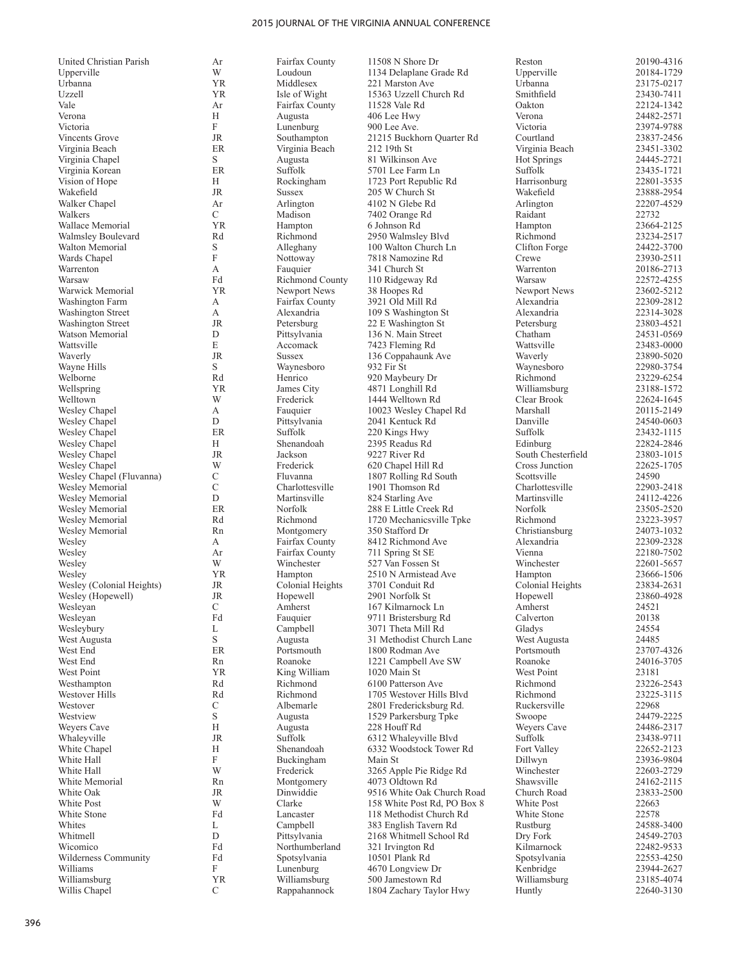| United Christian Parish           | Ar                        | Fairfax County              | 11508 N Shore Dr                          | Reston                | 20190-4316               |
|-----------------------------------|---------------------------|-----------------------------|-------------------------------------------|-----------------------|--------------------------|
| Upperville                        | W                         | Loudoun                     | 1134 Delaplane Grade Rd                   | Upperville            | 20184-1729               |
| Urbanna                           | <b>YR</b>                 | Middlesex                   | 221 Marston Ave                           | Urbanna               | 23175-0217               |
| Uzzell                            | <b>YR</b>                 | Isle of Wight               | 15363 Uzzell Church Rd                    | Smithfield            | 23430-7411               |
| Vale                              | Ar                        | Fairfax County              | 11528 Vale Rd                             | Oakton                | 22124-1342               |
| Verona                            | Н                         | Augusta                     | 406 Lee Hwy                               | Verona                | 24482-2571               |
| Victoria                          | F                         | Lunenburg                   | 900 Lee Ave.                              | Victoria              | 23974-9788               |
| Vincents Grove                    | JR                        | Southampton                 | 21215 Buckhorn Quarter Rd                 | Courtland             | 23837-2456               |
| Virginia Beach                    | ER                        | Virginia Beach              | 212 19th St                               | Virginia Beach        | 23451-3302               |
| Virginia Chapel                   | S                         | Augusta                     | 81 Wilkinson Ave                          | <b>Hot Springs</b>    | 24445-2721               |
| Virginia Korean<br>Vision of Hope | ER<br>Н                   | Suffolk                     | 5701 Lee Farm Ln<br>1723 Port Republic Rd | Suffolk               | 23435-1721<br>22801-3535 |
| Wakefield                         | $\rm JR$                  | Rockingham<br><b>Sussex</b> |                                           | Harrisonburg          | 23888-2954               |
| Walker Chapel                     | Ar                        | Arlington                   | 205 W Church St<br>4102 N Glebe Rd        | Wakefield             | 22207-4529               |
| Walkers                           | C                         | Madison                     | 7402 Orange Rd                            | Arlington<br>Raidant  | 22732                    |
| Wallace Memorial                  | <b>YR</b>                 | Hampton                     | 6 Johnson Rd                              | Hampton               | 23664-2125               |
| Walmsley Boulevard                | Rd                        | Richmond                    | 2950 Walmsley Blvd                        | Richmond              | 23234-2517               |
| Walton Memorial                   | S                         | Alleghany                   | 100 Walton Church Ln                      | Clifton Forge         | 24422-3700               |
| Wards Chapel                      | F                         | Nottoway                    | 7818 Namozine Rd                          | Crewe                 | 23930-2511               |
| Warrenton                         | А                         | Fauquier                    | 341 Church St                             | Warrenton             | 20186-2713               |
| Warsaw                            | Fd                        | <b>Richmond County</b>      | 110 Ridgeway Rd                           | Warsaw                | 22572-4255               |
| Warwick Memorial                  | <b>YR</b>                 | Newport News                | 38 Hoopes Rd                              | Newport News          | 23602-5212               |
| Washington Farm                   | А                         | Fairfax County              | 3921 Old Mill Rd                          | Alexandria            | 22309-2812               |
| <b>Washington Street</b>          | А                         | Alexandria                  | 109 S Washington St                       | Alexandria            | 22314-3028               |
| Washington Street                 | <b>JR</b>                 | Petersburg                  | 22 E Washington St                        | Petersburg            | 23803-4521               |
| Watson Memorial                   | D                         | Pittsylvania                | 136 N. Main Street                        | Chatham               | 24531-0569               |
| Wattsville                        | E                         | Accomack                    | 7423 Fleming Rd                           | Wattsville            | 23483-0000               |
| Waverly                           | <b>JR</b>                 | <b>Sussex</b>               | 136 Coppahaunk Ave                        | Waverly               | 23890-5020               |
| Wayne Hills                       | S                         | Waynesboro                  | 932 Fir St                                | Waynesboro            | 22980-3754               |
| Welborne                          | Rd                        | Henrico                     | 920 Maybeury Dr                           | Richmond              | 23229-6254               |
| Wellspring                        | <b>YR</b>                 | James City                  | 4871 Longhill Rd                          | Williamsburg          | 23188-1572               |
| Welltown                          | W                         | Frederick                   | 1444 Welltown Rd                          | Clear Brook           | 22624-1645               |
| Wesley Chapel                     | А                         | Fauquier                    | 10023 Wesley Chapel Rd                    | Marshall              | 20115-2149               |
| Wesley Chapel                     | D                         | Pittsylvania                | 2041 Kentuck Rd                           | Danville              | 24540-0603               |
| Wesley Chapel                     | ER                        | Suffolk                     | 220 Kings Hwy                             | Suffolk               | 23432-1115               |
| Wesley Chapel                     | Н                         | Shenandoah                  | 2395 Readus Rd                            | Edinburg              | 22824-2846               |
| Wesley Chapel                     | <b>JR</b>                 | Jackson                     | 9227 River Rd                             | South Chesterfield    | 23803-1015               |
| Wesley Chapel                     | W                         | Frederick                   | 620 Chapel Hill Rd                        | Cross Junction        | 22625-1705               |
| Wesley Chapel (Fluvanna)          | C                         | Fluvanna                    | 1807 Rolling Rd South                     | Scottsville           | 24590                    |
| Wesley Memorial                   | $\mathcal{C}$             | Charlottesville             | 1901 Thomson Rd                           | Charlottesville       | 22903-2418               |
| Wesley Memorial                   | D                         | Martinsville                | 824 Starling Ave                          | Martinsville          | 24112-4226               |
| Wesley Memorial                   | ER                        | Norfolk                     | 288 E Little Creek Rd                     | Norfolk               | 23505-2520               |
| Wesley Memorial                   | Rd                        | Richmond                    | 1720 Mechanicsville Tpke                  | Richmond              | 23223-3957               |
| Wesley Memorial                   | Rn                        | Montgomery                  | 350 Stafford Dr                           | Christiansburg        | 24073-1032               |
| Wesley                            | А                         | Fairfax County              | 8412 Richmond Ave                         | Alexandria            | 22309-2328               |
| Wesley                            | Ar                        | Fairfax County              | 711 Spring St SE                          | Vienna                | 22180-7502               |
| Wesley                            | W                         | Winchester                  | 527 Van Fossen St                         | Winchester            | 22601-5657               |
| Wesley                            | <b>YR</b>                 | Hampton                     | 2510 N Armistead Ave                      | Hampton               | 23666-1506               |
| Wesley (Colonial Heights)         | JR                        | Colonial Heights            | 3701 Conduit Rd                           | Colonial Heights      | 23834-2631               |
| Wesley (Hopewell)                 | JR                        | Hopewell                    | 2901 Norfolk St                           | Hopewell              | 23860-4928               |
| Wesleyan                          | C                         | Amherst                     | 167 Kilmarnock Ln                         | Amherst               | 24521                    |
| Wesleyan                          | Fd                        | Fauquier                    | 9711 Bristersburg Rd                      | Calverton             | 20138                    |
| Wesleybury                        | L                         | Campbell                    | 3071 Theta Mill Rd                        | Gladys                | 24554                    |
| West Augusta                      | S                         | Augusta                     | 31 Methodist Church Lane                  | West Augusta          | 24485                    |
| West End<br>West End              | ER                        | Portsmouth<br>Roanoke       | 1800 Rodman Ave                           | Portsmouth<br>Roanoke | 23707-4326<br>24016-3705 |
| West Point                        | Rn<br><b>YR</b>           | King William                | 1221 Campbell Ave SW<br>1020 Main St      | West Point            | 23181                    |
| Westhampton                       | Rd                        | Richmond                    | 6100 Patterson Ave                        | Richmond              | 23226-2543               |
| Westover Hills                    | Rd                        | Richmond                    | 1705 Westover Hills Blvd                  | Richmond              | 23225-3115               |
| Westover                          | $\mathcal{C}$             | Albemarle                   | 2801 Fredericksburg Rd.                   | Ruckersville          | 22968                    |
| Westview                          | S                         | Augusta                     | 1529 Parkersburg Tpke                     | Swoope                | 24479-2225               |
| Weyers Cave                       | Н                         | Augusta                     | 228 Houff Rd                              | Weyers Cave           | 24486-2317               |
| Whaleyville                       | JR                        | Suffolk                     | 6312 Whaleyville Blvd                     | Suffolk               | 23438-9711               |
| White Chapel                      | Н                         | Shenandoah                  | 6332 Woodstock Tower Rd                   | Fort Valley           | 22652-2123               |
| White Hall                        | $\boldsymbol{\mathrm{F}}$ | Buckingham                  | Main St                                   | Dillwyn               | 23936-9804               |
| White Hall                        | W                         | Frederick                   | 3265 Apple Pie Ridge Rd                   | Winchester            | 22603-2729               |
| White Memorial                    | Rn                        | Montgomery                  | 4073 Oldtown Rd                           | Shawsville            | 24162-2115               |
| White Oak                         | JR                        | Dinwiddie                   | 9516 White Oak Church Road                | Church Road           | 23833-2500               |
| White Post                        | W                         | Clarke                      | 158 White Post Rd, PO Box 8               | White Post            | 22663                    |
| White Stone                       | Fd                        | Lancaster                   | 118 Methodist Church Rd                   | White Stone           | 22578                    |
| Whites                            | L                         | Campbell                    | 383 English Tavern Rd                     | Rustburg              | 24588-3400               |
| Whitmell                          | D                         | Pittsylvania                | 2168 Whitmell School Rd                   | Dry Fork              | 24549-2703               |
| Wicomico                          | Fd                        | Northumberland              | 321 Irvington Rd                          | Kilmarnock            | 22482-9533               |
| Wilderness Community              | Fd                        | Spotsylvania                | 10501 Plank Rd                            | Spotsylvania          | 22553-4250               |
| Williams                          | F                         | Lunenburg                   | 4670 Longview Dr                          | Kenbridge             | 23944-2627               |
| Williamsburg                      | <b>YR</b>                 | Williamsburg                | 500 Jamestown Rd                          | Williamsburg          | 23185-4074               |

Willis Chapel